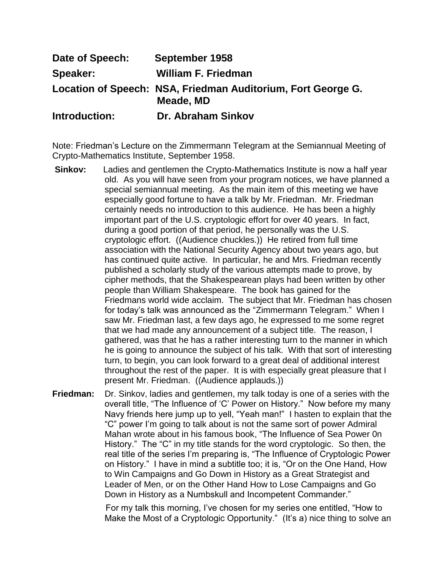| Date of Speech: | September 1958                                                            |
|-----------------|---------------------------------------------------------------------------|
| Speaker:        | <b>William F. Friedman</b>                                                |
|                 | Location of Speech: NSA, Friedman Auditorium, Fort George G.<br>Meade, MD |
| Introduction:   | Dr. Abraham Sinkov                                                        |

Note: Friedman"s Lecture on the Zimmermann Telegram at the Semiannual Meeting of Crypto-Mathematics Institute, September 1958.

- **Sinkov:** Ladies and gentlemen the Crypto-Mathematics Institute is now a half year old. As you will have seen from your program notices, we have planned a special semiannual meeting. As the main item of this meeting we have especially good fortune to have a talk by Mr. Friedman. Mr. Friedman certainly needs no introduction to this audience. He has been a highly important part of the U.S. cryptologic effort for over 40 years. In fact, during a good portion of that period, he personally was the U.S. cryptologic effort. ((Audience chuckles.)) He retired from full time association with the National Security Agency about two years ago, but has continued quite active. In particular, he and Mrs. Friedman recently published a scholarly study of the various attempts made to prove, by cipher methods, that the Shakespearean plays had been written by other people than William Shakespeare. The book has gained for the Friedmans world wide acclaim. The subject that Mr. Friedman has chosen for today"s talk was announced as the "Zimmermann Telegram." When I saw Mr. Friedman last, a few days ago, he expressed to me some regret that we had made any announcement of a subject title. The reason, I gathered, was that he has a rather interesting turn to the manner in which he is going to announce the subject of his talk. With that sort of interesting turn, to begin, you can look forward to a great deal of additional interest throughout the rest of the paper. It is with especially great pleasure that I present Mr. Friedman. ((Audience applauds.))
- **Friedman:** Dr. Sinkov, ladies and gentlemen, my talk today is one of a series with the overall title, "The Influence of "C" Power on History." Now before my many Navy friends here jump up to yell, "Yeah man!" I hasten to explain that the "C" power I"m going to talk about is not the same sort of power Admiral Mahan wrote about in his famous book, "The Influence of Sea Power 0n History." The "C" in my title stands for the word cryptologic. So then, the real title of the series I"m preparing is, "The Influence of Cryptologic Power on History." I have in mind a subtitle too; it is, "Or on the One Hand, How to Win Campaigns and Go Down in History as a Great Strategist and Leader of Men, or on the Other Hand How to Lose Campaigns and Go Down in History as a Numbskull and Incompetent Commander."

For my talk this morning, I"ve chosen for my series one entitled, "How to Make the Most of a Cryptologic Opportunity." (It's a) nice thing to solve an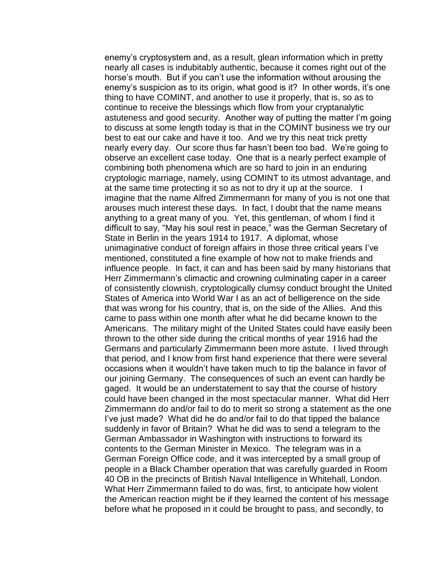enemy's cryptosystem and, as a result, glean information which in pretty nearly all cases is indubitably authentic, because it comes right out of the horse's mouth. But if you can't use the information without arousing the enemy's suspicion as to its origin, what good is it? In other words, it's one thing to have COMINT, and another to use it properly, that is, so as to continue to receive the blessings which flow from your cryptanalytic astuteness and good security. Another way of putting the matter I"m going to discuss at some length today is that in the COMINT business we try our best to eat our cake and have it too. And we try this neat trick pretty nearly every day. Our score thus far hasn"t been too bad. We"re going to observe an excellent case today. One that is a nearly perfect example of combining both phenomena which are so hard to join in an enduring cryptologic marriage, namely, using COMINT to its utmost advantage, and at the same time protecting it so as not to dry it up at the source. I imagine that the name Alfred Zimmermann for many of you is not one that arouses much interest these days. In fact, I doubt that the name means anything to a great many of you. Yet, this gentleman, of whom I find it difficult to say, "May his soul rest in peace," was the German Secretary of State in Berlin in the years 1914 to 1917. A diplomat, whose unimaginative conduct of foreign affairs in those three critical years I"ve mentioned, constituted a fine example of how not to make friends and influence people. In fact, it can and has been said by many historians that Herr Zimmermann"s climactic and crowning culminating caper in a career of consistently clownish, cryptologically clumsy conduct brought the United States of America into World War I as an act of belligerence on the side that was wrong for his country, that is, on the side of the Allies. And this came to pass within one month after what he did became known to the Americans. The military might of the United States could have easily been thrown to the other side during the critical months of year 1916 had the Germans and particularly Zimmermann been more astute. I lived through that period, and I know from first hand experience that there were several occasions when it wouldn"t have taken much to tip the balance in favor of our joining Germany. The consequences of such an event can hardly be gaged. It would be an understatement to say that the course of history could have been changed in the most spectacular manner. What did Herr Zimmermann do and/or fail to do to merit so strong a statement as the one I"ve just made? What did he do and/or fail to do that tipped the balance suddenly in favor of Britain? What he did was to send a telegram to the German Ambassador in Washington with instructions to forward its contents to the German Minister in Mexico. The telegram was in a German Foreign Office code, and it was intercepted by a small group of people in a Black Chamber operation that was carefully guarded in Room 40 OB in the precincts of British Naval Intelligence in Whitehall, London. What Herr Zimmermann failed to do was, first, to anticipate how violent the American reaction might be if they learned the content of his message before what he proposed in it could be brought to pass, and secondly, to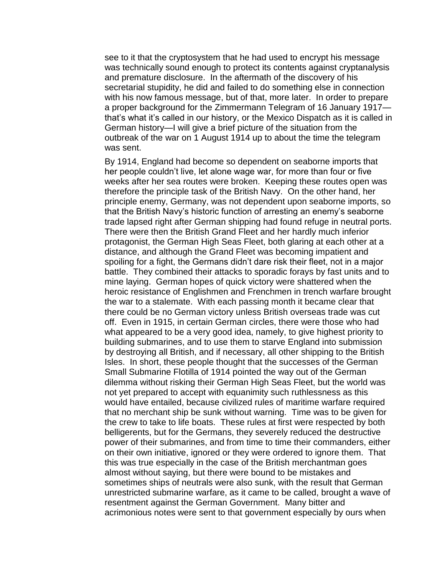see to it that the cryptosystem that he had used to encrypt his message was technically sound enough to protect its contents against cryptanalysis and premature disclosure. In the aftermath of the discovery of his secretarial stupidity, he did and failed to do something else in connection with his now famous message, but of that, more later. In order to prepare a proper background for the Zimmermann Telegram of 16 January 1917 that"s what it"s called in our history, or the Mexico Dispatch as it is called in German history—I will give a brief picture of the situation from the outbreak of the war on 1 August 1914 up to about the time the telegram was sent.

By 1914, England had become so dependent on seaborne imports that her people couldn"t live, let alone wage war, for more than four or five weeks after her sea routes were broken. Keeping these routes open was therefore the principle task of the British Navy. On the other hand, her principle enemy, Germany, was not dependent upon seaborne imports, so that the British Navy"s historic function of arresting an enemy"s seaborne trade lapsed right after German shipping had found refuge in neutral ports. There were then the British Grand Fleet and her hardly much inferior protagonist, the German High Seas Fleet, both glaring at each other at a distance, and although the Grand Fleet was becoming impatient and spoiling for a fight, the Germans didn"t dare risk their fleet, not in a major battle. They combined their attacks to sporadic forays by fast units and to mine laying. German hopes of quick victory were shattered when the heroic resistance of Englishmen and Frenchmen in trench warfare brought the war to a stalemate. With each passing month it became clear that there could be no German victory unless British overseas trade was cut off. Even in 1915, in certain German circles, there were those who had what appeared to be a very good idea, namely, to give highest priority to building submarines, and to use them to starve England into submission by destroying all British, and if necessary, all other shipping to the British Isles. In short, these people thought that the successes of the German Small Submarine Flotilla of 1914 pointed the way out of the German dilemma without risking their German High Seas Fleet, but the world was not yet prepared to accept with equanimity such ruthlessness as this would have entailed, because civilized rules of maritime warfare required that no merchant ship be sunk without warning. Time was to be given for the crew to take to life boats. These rules at first were respected by both belligerents, but for the Germans, they severely reduced the destructive power of their submarines, and from time to time their commanders, either on their own initiative, ignored or they were ordered to ignore them. That this was true especially in the case of the British merchantman goes almost without saying, but there were bound to be mistakes and sometimes ships of neutrals were also sunk, with the result that German unrestricted submarine warfare, as it came to be called, brought a wave of resentment against the German Government. Many bitter and acrimonious notes were sent to that government especially by ours when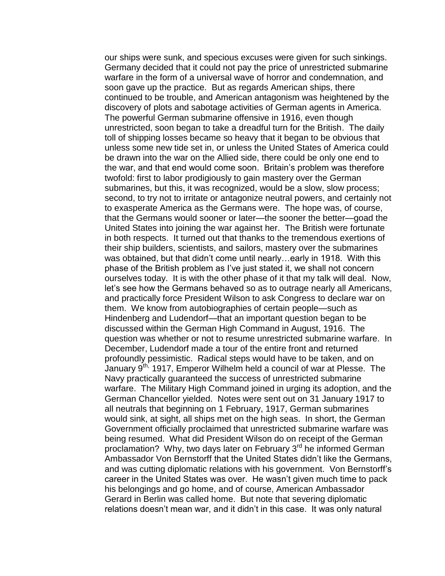our ships were sunk, and specious excuses were given for such sinkings. Germany decided that it could not pay the price of unrestricted submarine warfare in the form of a universal wave of horror and condemnation, and soon gave up the practice. But as regards American ships, there continued to be trouble, and American antagonism was heightened by the discovery of plots and sabotage activities of German agents in America. The powerful German submarine offensive in 1916, even though unrestricted, soon began to take a dreadful turn for the British. The daily toll of shipping losses became so heavy that it began to be obvious that unless some new tide set in, or unless the United States of America could be drawn into the war on the Allied side, there could be only one end to the war, and that end would come soon. Britain"s problem was therefore twofold: first to labor prodigiously to gain mastery over the German submarines, but this, it was recognized, would be a slow, slow process; second, to try not to irritate or antagonize neutral powers, and certainly not to exasperate America as the Germans were. The hope was, of course, that the Germans would sooner or later—the sooner the better—goad the United States into joining the war against her. The British were fortunate in both respects. It turned out that thanks to the tremendous exertions of their ship builders, scientists, and sailors, mastery over the submarines was obtained, but that didn"t come until nearly…early in 1918. With this phase of the British problem as I"ve just stated it, we shall not concern ourselves today. It is with the other phase of it that my talk will deal. Now, let"s see how the Germans behaved so as to outrage nearly all Americans, and practically force President Wilson to ask Congress to declare war on them. We know from autobiographies of certain people—such as Hindenberg and Ludendorf—that an important question began to be discussed within the German High Command in August, 1916. The question was whether or not to resume unrestricted submarine warfare. In December, Ludendorf made a tour of the entire front and returned profoundly pessimistic. Radical steps would have to be taken, and on .<br>January 9<sup>th,</sup> 1917, Emperor Wilhelm held a council of war at Plesse. The Navy practically guaranteed the success of unrestricted submarine warfare. The Military High Command joined in urging its adoption, and the German Chancellor yielded. Notes were sent out on 31 January 1917 to all neutrals that beginning on 1 February, 1917, German submarines would sink, at sight, all ships met on the high seas. In short, the German Government officially proclaimed that unrestricted submarine warfare was being resumed. What did President Wilson do on receipt of the German proclamation? Why, two days later on February 3<sup>rd</sup> he informed German Ambassador Von Bernstorff that the United States didn"t like the Germans, and was cutting diplomatic relations with his government. Von Bernstorff"s career in the United States was over. He wasn"t given much time to pack his belongings and go home, and of course, American Ambassador Gerard in Berlin was called home. But note that severing diplomatic relations doesn"t mean war, and it didn"t in this case. It was only natural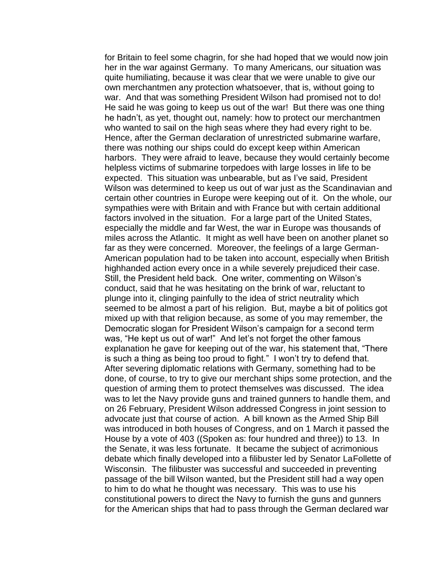for Britain to feel some chagrin, for she had hoped that we would now join her in the war against Germany. To many Americans, our situation was quite humiliating, because it was clear that we were unable to give our own merchantmen any protection whatsoever, that is, without going to war. And that was something President Wilson had promised not to do! He said he was going to keep us out of the war! But there was one thing he hadn"t, as yet, thought out, namely: how to protect our merchantmen who wanted to sail on the high seas where they had every right to be. Hence, after the German declaration of unrestricted submarine warfare, there was nothing our ships could do except keep within American harbors. They were afraid to leave, because they would certainly become helpless victims of submarine torpedoes with large losses in life to be expected. This situation was unbearable, but as I've said, President Wilson was determined to keep us out of war just as the Scandinavian and certain other countries in Europe were keeping out of it. On the whole, our sympathies were with Britain and with France but with certain additional factors involved in the situation. For a large part of the United States, especially the middle and far West, the war in Europe was thousands of miles across the Atlantic. It might as well have been on another planet so far as they were concerned. Moreover, the feelings of a large German-American population had to be taken into account, especially when British highhanded action every once in a while severely prejudiced their case. Still, the President held back. One writer, commenting on Wilson"s conduct, said that he was hesitating on the brink of war, reluctant to plunge into it, clinging painfully to the idea of strict neutrality which seemed to be almost a part of his religion. But, maybe a bit of politics got mixed up with that religion because, as some of you may remember, the Democratic slogan for President Wilson"s campaign for a second term was, "He kept us out of war!" And let's not forget the other famous explanation he gave for keeping out of the war, his statement that, "There is such a thing as being too proud to fight." I won"t try to defend that. After severing diplomatic relations with Germany, something had to be done, of course, to try to give our merchant ships some protection, and the question of arming them to protect themselves was discussed. The idea was to let the Navy provide guns and trained gunners to handle them, and on 26 February, President Wilson addressed Congress in joint session to advocate just that course of action. A bill known as the Armed Ship Bill was introduced in both houses of Congress, and on 1 March it passed the House by a vote of 403 ((Spoken as: four hundred and three)) to 13. In the Senate, it was less fortunate. It became the subject of acrimonious debate which finally developed into a filibuster led by Senator LaFollette of Wisconsin. The filibuster was successful and succeeded in preventing passage of the bill Wilson wanted, but the President still had a way open to him to do what he thought was necessary. This was to use his constitutional powers to direct the Navy to furnish the guns and gunners for the American ships that had to pass through the German declared war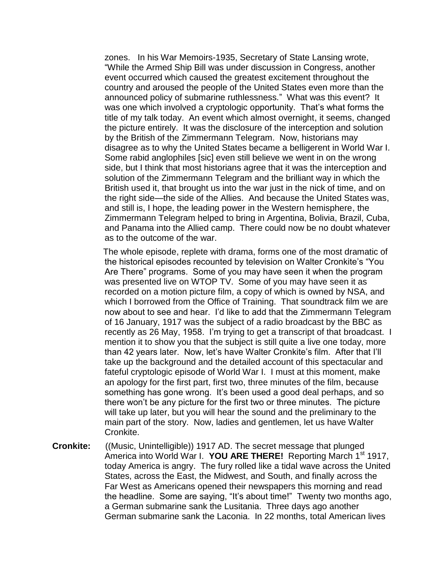zones. In his War Memoirs-1935, Secretary of State Lansing wrote, "While the Armed Ship Bill was under discussion in Congress, another event occurred which caused the greatest excitement throughout the country and aroused the people of the United States even more than the announced policy of submarine ruthlessness." What was this event? It was one which involved a cryptologic opportunity. That"s what forms the title of my talk today. An event which almost overnight, it seems, changed the picture entirely. It was the disclosure of the interception and solution by the British of the Zimmermann Telegram. Now, historians may disagree as to why the United States became a belligerent in World War I. Some rabid anglophiles [sic] even still believe we went in on the wrong side, but I think that most historians agree that it was the interception and solution of the Zimmermann Telegram and the brilliant way in which the British used it, that brought us into the war just in the nick of time, and on the right side—the side of the Allies. And because the United States was, and still is, I hope, the leading power in the Western hemisphere, the Zimmermann Telegram helped to bring in Argentina, Bolivia, Brazil, Cuba, and Panama into the Allied camp. There could now be no doubt whatever as to the outcome of the war.

 The whole episode, replete with drama, forms one of the most dramatic of the historical episodes recounted by television on Walter Cronkite"s "You Are There" programs. Some of you may have seen it when the program was presented live on WTOP TV. Some of you may have seen it as recorded on a motion picture film, a copy of which is owned by NSA, and which I borrowed from the Office of Training. That soundtrack film we are now about to see and hear. I"d like to add that the Zimmermann Telegram of 16 January, 1917 was the subject of a radio broadcast by the BBC as recently as 26 May, 1958. I'm trying to get a transcript of that broadcast. I mention it to show you that the subject is still quite a live one today, more than 42 years later. Now, let's have Walter Cronkite's film. After that I'll take up the background and the detailed account of this spectacular and fateful cryptologic episode of World War I. I must at this moment, make an apology for the first part, first two, three minutes of the film, because something has gone wrong. It's been used a good deal perhaps, and so there won"t be any picture for the first two or three minutes. The picture will take up later, but you will hear the sound and the preliminary to the main part of the story. Now, ladies and gentlemen, let us have Walter Cronkite.

**Cronkite:** ((Music, Unintelligible)) 1917 AD. The secret message that plunged America into World War I. YOU ARE THERE! Reporting March 1<sup>st</sup> 1917, today America is angry. The fury rolled like a tidal wave across the United States, across the East, the Midwest, and South, and finally across the Far West as Americans opened their newspapers this morning and read the headline. Some are saying, "It"s about time!" Twenty two months ago, a German submarine sank the Lusitania. Three days ago another German submarine sank the Laconia. In 22 months, total American lives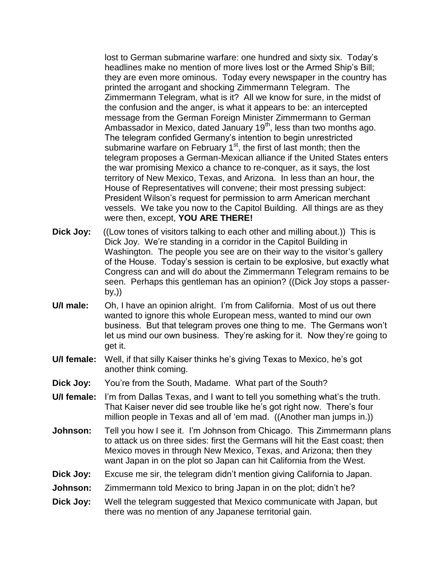lost to German submarine warfare: one hundred and sixty six. Today"s headlines make no mention of more lives lost or the Armed Ship"s Bill; they are even more ominous. Today every newspaper in the country has printed the arrogant and shocking Zimmermann Telegram. The Zimmermann Telegram, what is it? All we know for sure, in the midst of the confusion and the anger, is what it appears to be: an intercepted message from the German Foreign Minister Zimmermann to German Ambassador in Mexico, dated January 19<sup>th</sup>, less than two months ago. The telegram confided Germany"s intention to begin unrestricted submarine warfare on February  $1<sup>st</sup>$ , the first of last month; then the telegram proposes a German-Mexican alliance if the United States enters the war promising Mexico a chance to re-conquer, as it says, the lost territory of New Mexico, Texas, and Arizona. In less than an hour, the House of Representatives will convene; their most pressing subject: President Wilson"s request for permission to arm American merchant vessels. We take you now to the Capitol Building. All things are as they were then, except, **YOU ARE THERE!**

- **Dick Joy:** ((Low tones of visitors talking to each other and milling about.)) This is Dick Joy. We're standing in a corridor in the Capitol Building in Washington. The people you see are on their way to the visitor's gallery of the House. Today"s session is certain to be explosive, but exactly what Congress can and will do about the Zimmermann Telegram remains to be seen. Perhaps this gentleman has an opinion? ((Dick Joy stops a passerby,))
- **U/I male:** Oh, I have an opinion alright. I"m from California. Most of us out there wanted to ignore this whole European mess, wanted to mind our own business. But that telegram proves one thing to me. The Germans won"t let us mind our own business. They"re asking for it. Now they"re going to get it.
- **U/I female:** Well, if that silly Kaiser thinks he's giving Texas to Mexico, he's got another think coming.
- **Dick Joy:** You"re from the South, Madame. What part of the South?
- **U/I female:** I'm from Dallas Texas, and I want to tell you something what's the truth. That Kaiser never did see trouble like he's got right now. There's four million people in Texas and all of "em mad. ((Another man jumps in.))
- **Johnson:** Tell you how I see it. I'm Johnson from Chicago. This Zimmermann plans to attack us on three sides: first the Germans will hit the East coast; then Mexico moves in through New Mexico, Texas, and Arizona; then they want Japan in on the plot so Japan can hit California from the West.
- **Dick Joy:** Excuse me sir, the telegram didn"t mention giving California to Japan.
- **Johnson:** Zimmermann told Mexico to bring Japan in on the plot; didn't he?
- **Dick Joy:** Well the telegram suggested that Mexico communicate with Japan, but there was no mention of any Japanese territorial gain.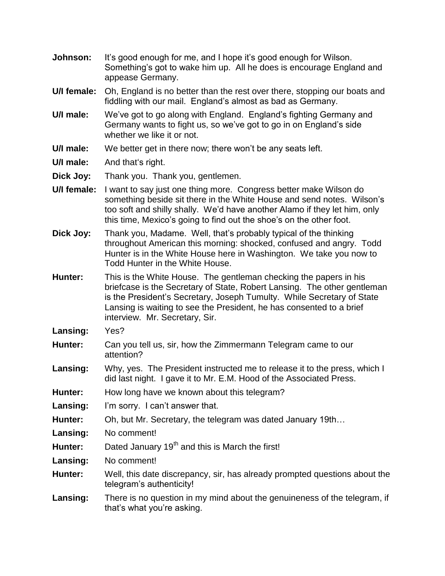- **Johnson:** It's good enough for me, and I hope it's good enough for Wilson. Something's got to wake him up. All he does is encourage England and appease Germany.
- **U/I female:** Oh, England is no better than the rest over there, stopping our boats and fiddling with our mail. England"s almost as bad as Germany.
- **U/I male:** We've got to go along with England. England's fighting Germany and Germany wants to fight us, so we"ve got to go in on England"s side whether we like it or not.
- **U/I male:** We better get in there now; there won"t be any seats left.
- **U/I male:** And that"s right.
- **Dick Joy:** Thank you. Thank you, gentlemen.
- **U/I female:** I want to say just one thing more. Congress better make Wilson do something beside sit there in the White House and send notes. Wilson"s too soft and shilly shally. We"d have another Alamo if they let him, only this time, Mexico's going to find out the shoe's on the other foot.
- **Dick Joy:** Thank you, Madame. Well, that"s probably typical of the thinking throughout American this morning: shocked, confused and angry. Todd Hunter is in the White House here in Washington. We take you now to Todd Hunter in the White House.
- **Hunter:** This is the White House. The gentleman checking the papers in his briefcase is the Secretary of State, Robert Lansing. The other gentleman is the President"s Secretary, Joseph Tumulty. While Secretary of State Lansing is waiting to see the President, he has consented to a brief interview. Mr. Secretary, Sir.
- **Lansing:** Yes?
- **Hunter:** Can you tell us, sir, how the Zimmermann Telegram came to our attention?
- **Lansing:** Why, yes. The President instructed me to release it to the press, which I did last night. I gave it to Mr. E.M. Hood of the Associated Press.
- **Hunter:** How long have we known about this telegram?
- **Lansing:** I'm sorry. I can't answer that.
- **Hunter:** Oh, but Mr. Secretary, the telegram was dated January 19th…
- **Lansing:** No comment!
- Hunter: Dated January 19<sup>th</sup> and this is March the first!
- **Lansing:** No comment!
- **Hunter:** Well, this date discrepancy, sir, has already prompted questions about the telegram"s authenticity!
- **Lansing:** There is no question in my mind about the genuineness of the telegram, if that"s what you"re asking.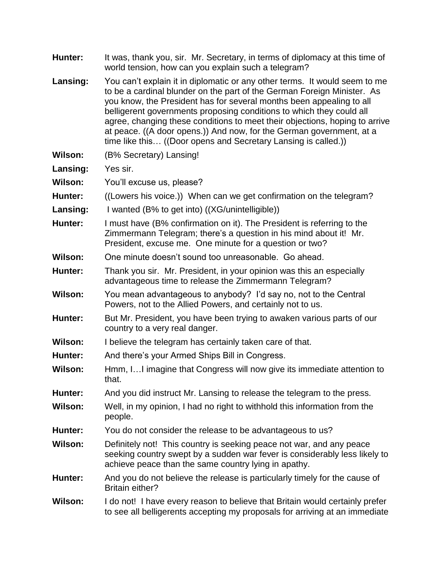| Hunter:        | It was, thank you, sir. Mr. Secretary, in terms of diplomacy at this time of<br>world tension, how can you explain such a telegram?                                                                                                                                                                                                                                                                                                                                                                                            |
|----------------|--------------------------------------------------------------------------------------------------------------------------------------------------------------------------------------------------------------------------------------------------------------------------------------------------------------------------------------------------------------------------------------------------------------------------------------------------------------------------------------------------------------------------------|
| Lansing:       | You can't explain it in diplomatic or any other terms. It would seem to me<br>to be a cardinal blunder on the part of the German Foreign Minister. As<br>you know, the President has for several months been appealing to all<br>belligerent governments proposing conditions to which they could all<br>agree, changing these conditions to meet their objections, hoping to arrive<br>at peace. ((A door opens.)) And now, for the German government, at a<br>time like this ((Door opens and Secretary Lansing is called.)) |
| <b>Wilson:</b> | (B% Secretary) Lansing!                                                                                                                                                                                                                                                                                                                                                                                                                                                                                                        |
| Lansing:       | Yes sir.                                                                                                                                                                                                                                                                                                                                                                                                                                                                                                                       |
| Wilson:        | You'll excuse us, please?                                                                                                                                                                                                                                                                                                                                                                                                                                                                                                      |
| Hunter:        | ((Lowers his voice.)) When can we get confirmation on the telegram?                                                                                                                                                                                                                                                                                                                                                                                                                                                            |
| Lansing:       | I wanted (B% to get into) ((XG/unintelligible))                                                                                                                                                                                                                                                                                                                                                                                                                                                                                |
| <b>Hunter:</b> | I must have (B% confirmation on it). The President is referring to the<br>Zimmermann Telegram; there's a question in his mind about it! Mr.<br>President, excuse me. One minute for a question or two?                                                                                                                                                                                                                                                                                                                         |
| <b>Wilson:</b> | One minute doesn't sound too unreasonable. Go ahead.                                                                                                                                                                                                                                                                                                                                                                                                                                                                           |
| Hunter:        | Thank you sir. Mr. President, in your opinion was this an especially<br>advantageous time to release the Zimmermann Telegram?                                                                                                                                                                                                                                                                                                                                                                                                  |
| <b>Wilson:</b> | You mean advantageous to anybody? I'd say no, not to the Central<br>Powers, not to the Allied Powers, and certainly not to us.                                                                                                                                                                                                                                                                                                                                                                                                 |
| Hunter:        | But Mr. President, you have been trying to awaken various parts of our<br>country to a very real danger.                                                                                                                                                                                                                                                                                                                                                                                                                       |
| Wilson:        | I believe the telegram has certainly taken care of that.                                                                                                                                                                                                                                                                                                                                                                                                                                                                       |
| Hunter:        | And there's your Armed Ships Bill in Congress.                                                                                                                                                                                                                                                                                                                                                                                                                                                                                 |
| <b>Wilson:</b> | Hmm, I I imagine that Congress will now give its immediate attention to<br>that.                                                                                                                                                                                                                                                                                                                                                                                                                                               |
| Hunter:        | And you did instruct Mr. Lansing to release the telegram to the press.                                                                                                                                                                                                                                                                                                                                                                                                                                                         |
| <b>Wilson:</b> | Well, in my opinion, I had no right to withhold this information from the<br>people.                                                                                                                                                                                                                                                                                                                                                                                                                                           |
| Hunter:        | You do not consider the release to be advantageous to us?                                                                                                                                                                                                                                                                                                                                                                                                                                                                      |
| <b>Wilson:</b> | Definitely not! This country is seeking peace not war, and any peace<br>seeking country swept by a sudden war fever is considerably less likely to<br>achieve peace than the same country lying in apathy.                                                                                                                                                                                                                                                                                                                     |
| Hunter:        | And you do not believe the release is particularly timely for the cause of<br><b>Britain either?</b>                                                                                                                                                                                                                                                                                                                                                                                                                           |
| Wilson:        | I do not! I have every reason to believe that Britain would certainly prefer<br>to see all belligerents accepting my proposals for arriving at an immediate                                                                                                                                                                                                                                                                                                                                                                    |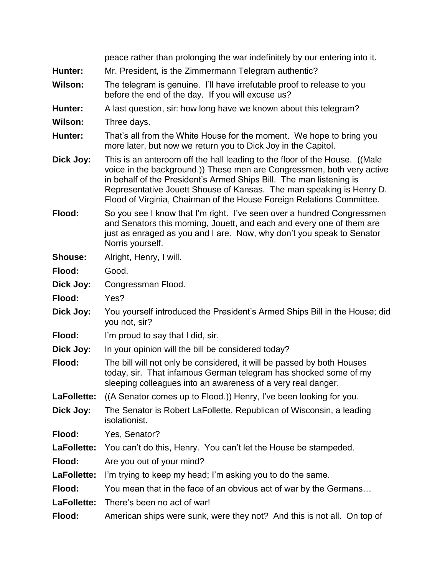|                | peace rather than prolonging the war indefinitely by our entering into it.                                                                                                                                                                                                                                                                                                  |
|----------------|-----------------------------------------------------------------------------------------------------------------------------------------------------------------------------------------------------------------------------------------------------------------------------------------------------------------------------------------------------------------------------|
| Hunter:        | Mr. President, is the Zimmermann Telegram authentic?                                                                                                                                                                                                                                                                                                                        |
| <b>Wilson:</b> | The telegram is genuine. I'll have irrefutable proof to release to you<br>before the end of the day. If you will excuse us?                                                                                                                                                                                                                                                 |
| Hunter:        | A last question, sir: how long have we known about this telegram?                                                                                                                                                                                                                                                                                                           |
| <b>Wilson:</b> | Three days.                                                                                                                                                                                                                                                                                                                                                                 |
| Hunter:        | That's all from the White House for the moment. We hope to bring you<br>more later, but now we return you to Dick Joy in the Capitol.                                                                                                                                                                                                                                       |
| Dick Joy:      | This is an anteroom off the hall leading to the floor of the House. (Male<br>voice in the background.)) These men are Congressmen, both very active<br>in behalf of the President's Armed Ships Bill. The man listening is<br>Representative Jouett Shouse of Kansas. The man speaking is Henry D.<br>Flood of Virginia, Chairman of the House Foreign Relations Committee. |
| Flood:         | So you see I know that I'm right. I've seen over a hundred Congressmen<br>and Senators this morning, Jouett, and each and every one of them are<br>just as enraged as you and I are. Now, why don't you speak to Senator<br>Norris yourself.                                                                                                                                |
| <b>Shouse:</b> | Alright, Henry, I will.                                                                                                                                                                                                                                                                                                                                                     |
| Flood:         | Good.                                                                                                                                                                                                                                                                                                                                                                       |
| Dick Joy:      | Congressman Flood.                                                                                                                                                                                                                                                                                                                                                          |
| Flood:         | Yes?                                                                                                                                                                                                                                                                                                                                                                        |
| Dick Joy:      | You yourself introduced the President's Armed Ships Bill in the House; did<br>you not, sir?                                                                                                                                                                                                                                                                                 |
| Flood:         | I'm proud to say that I did, sir.                                                                                                                                                                                                                                                                                                                                           |
| Dick Joy:      | In your opinion will the bill be considered today?                                                                                                                                                                                                                                                                                                                          |
| Flood:         | The bill will not only be considered, it will be passed by both Houses<br>today, sir. That infamous German telegram has shocked some of my<br>sleeping colleagues into an awareness of a very real danger.                                                                                                                                                                  |
| LaFollette:    | ((A Senator comes up to Flood.)) Henry, I've been looking for you.                                                                                                                                                                                                                                                                                                          |
| Dick Joy:      | The Senator is Robert LaFollette, Republican of Wisconsin, a leading<br>isolationist.                                                                                                                                                                                                                                                                                       |
| Flood:         | Yes, Senator?                                                                                                                                                                                                                                                                                                                                                               |
| LaFollette:    | You can't do this, Henry. You can't let the House be stampeded.                                                                                                                                                                                                                                                                                                             |
| Flood:         | Are you out of your mind?                                                                                                                                                                                                                                                                                                                                                   |
| LaFollette:    | I'm trying to keep my head; I'm asking you to do the same.                                                                                                                                                                                                                                                                                                                  |
| Flood:         | You mean that in the face of an obvious act of war by the Germans                                                                                                                                                                                                                                                                                                           |
| LaFollette:    | There's been no act of war!                                                                                                                                                                                                                                                                                                                                                 |
| Flood:         | American ships were sunk, were they not? And this is not all. On top of                                                                                                                                                                                                                                                                                                     |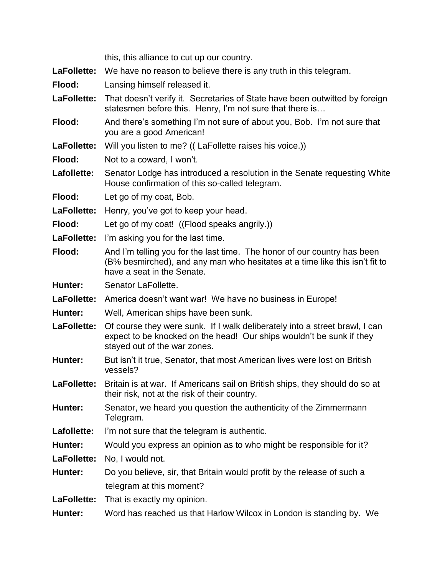|             | this, this alliance to cut up our country.                                                                                                                                            |
|-------------|---------------------------------------------------------------------------------------------------------------------------------------------------------------------------------------|
| LaFollette: | We have no reason to believe there is any truth in this telegram.                                                                                                                     |
| Flood:      | Lansing himself released it.                                                                                                                                                          |
| LaFollette: | That doesn't verify it. Secretaries of State have been out witted by foreign<br>statesmen before this. Henry, I'm not sure that there is                                              |
| Flood:      | And there's something I'm not sure of about you, Bob. I'm not sure that<br>you are a good American!                                                                                   |
| LaFollette: | Will you listen to me? ((LaFollette raises his voice.))                                                                                                                               |
| Flood:      | Not to a coward, I won't.                                                                                                                                                             |
| Lafollette: | Senator Lodge has introduced a resolution in the Senate requesting White<br>House confirmation of this so-called telegram.                                                            |
| Flood:      | Let go of my coat, Bob.                                                                                                                                                               |
| LaFollette: | Henry, you've got to keep your head.                                                                                                                                                  |
| Flood:      | Let go of my coat! ((Flood speaks angrily.))                                                                                                                                          |
| LaFollette: | I'm asking you for the last time.                                                                                                                                                     |
| Flood:      | And I'm telling you for the last time. The honor of our country has been<br>(B% besmirched), and any man who hesitates at a time like this isn't fit to<br>have a seat in the Senate. |
| Hunter:     | Senator LaFollette.                                                                                                                                                                   |
| LaFollette: | America doesn't want war! We have no business in Europe!                                                                                                                              |
| Hunter:     | Well, American ships have been sunk.                                                                                                                                                  |
| LaFollette: | Of course they were sunk. If I walk deliberately into a street brawl, I can<br>expect to be knocked on the head! Our ships wouldn't be sunk if they<br>stayed out of the war zones.   |
| Hunter:     | But isn't it true, Senator, that most American lives were lost on British<br>vessels?                                                                                                 |
| LaFollette: | Britain is at war. If Americans sail on British ships, they should do so at<br>their risk, not at the risk of their country.                                                          |
| Hunter:     | Senator, we heard you question the authenticity of the Zimmermann<br>Telegram.                                                                                                        |
| Lafollette: | I'm not sure that the telegram is authentic.                                                                                                                                          |
| Hunter:     | Would you express an opinion as to who might be responsible for it?                                                                                                                   |
| LaFollette: | No, I would not.                                                                                                                                                                      |
| Hunter:     | Do you believe, sir, that Britain would profit by the release of such a                                                                                                               |
|             | telegram at this moment?                                                                                                                                                              |
| LaFollette: | That is exactly my opinion.                                                                                                                                                           |
| Hunter:     | Word has reached us that Harlow Wilcox in London is standing by. We                                                                                                                   |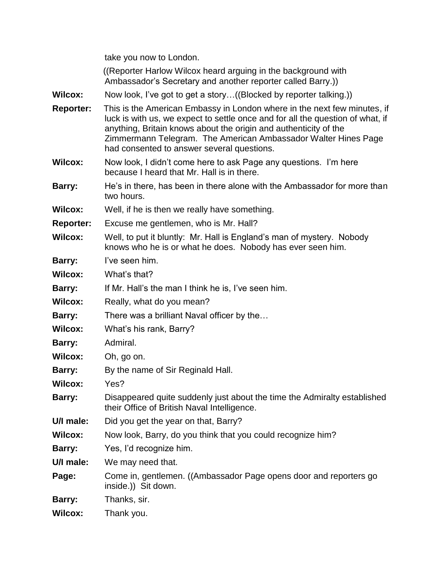take you now to London.

 ((Reporter Harlow Wilcox heard arguing in the background with Ambassador"s Secretary and another reporter called Barry.))

- **Wilcox:** Now look, I've got to get a story...((Blocked by reporter talking.))
- **Reporter:** This is the American Embassy in London where in the next few minutes, if luck is with us, we expect to settle once and for all the question of what, if anything, Britain knows about the origin and authenticity of the Zimmermann Telegram. The American Ambassador Walter Hines Page had consented to answer several questions.
- **Wilcox:** Now look, I didn"t come here to ask Page any questions. I"m here because I heard that Mr. Hall is in there.
- **Barry:** He"s in there, has been in there alone with the Ambassador for more than two hours.
- **Wilcox:** Well, if he is then we really have something.

**Reporter:** Excuse me gentlemen, who is Mr. Hall?

- **Wilcox:** Well, to put it bluntly: Mr. Hall is England"s man of mystery. Nobody knows who he is or what he does. Nobody has ever seen him.
- **Barry:** I've seen him.
- **Wilcox:** What"s that?
- **Barry:** If Mr. Hall's the man I think he is, I've seen him.
- **Wilcox:** Really, what do you mean?
- **Barry:** There was a brilliant Naval officer by the...
- **Wilcox:** What"s his rank, Barry?
- **Barry:** Admiral.
- **Wilcox:** Oh, go on.
- **Barry:** By the name of Sir Reginald Hall.
- **Wilcox:** Yes?
- **Barry:** Disappeared quite suddenly just about the time the Admiralty established their Office of British Naval Intelligence.
- **U/I male:** Did you get the year on that, Barry?
- **Wilcox:** Now look, Barry, do you think that you could recognize him?
- **Barry:** Yes, I'd recognize him.
- **U/I male:** We may need that.
- **Page:** Come in, gentlemen. ((Ambassador Page opens door and reporters go inside.)) Sit down.
- **Barry:** Thanks, sir.
- **Wilcox:** Thank you.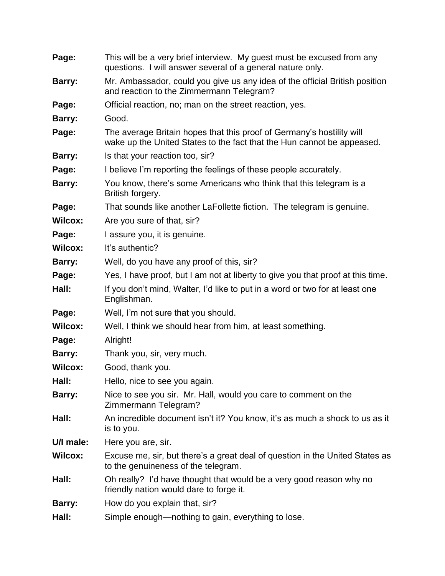| Page:          | This will be a very brief interview. My guest must be excused from any<br>questions. I will answer several of a general nature only.            |
|----------------|-------------------------------------------------------------------------------------------------------------------------------------------------|
| Barry:         | Mr. Ambassador, could you give us any idea of the official British position<br>and reaction to the Zimmermann Telegram?                         |
| Page:          | Official reaction, no; man on the street reaction, yes.                                                                                         |
| Barry:         | Good.                                                                                                                                           |
| Page:          | The average Britain hopes that this proof of Germany's hostility will<br>wake up the United States to the fact that the Hun cannot be appeased. |
| Barry:         | Is that your reaction too, sir?                                                                                                                 |
| Page:          | I believe I'm reporting the feelings of these people accurately.                                                                                |
| Barry:         | You know, there's some Americans who think that this telegram is a<br>British forgery.                                                          |
| Page:          | That sounds like another LaFollette fiction. The telegram is genuine.                                                                           |
| <b>Wilcox:</b> | Are you sure of that, sir?                                                                                                                      |
| Page:          | I assure you, it is genuine.                                                                                                                    |
| <b>Wilcox:</b> | It's authentic?                                                                                                                                 |
| Barry:         | Well, do you have any proof of this, sir?                                                                                                       |
| Page:          | Yes, I have proof, but I am not at liberty to give you that proof at this time.                                                                 |
| Hall:          | If you don't mind, Walter, I'd like to put in a word or two for at least one<br>Englishman.                                                     |
| Page:          | Well, I'm not sure that you should.                                                                                                             |
| <b>Wilcox:</b> | Well, I think we should hear from him, at least something.                                                                                      |
| Page:          | Alright!                                                                                                                                        |
| Barry:         | Thank you, sir, very much.                                                                                                                      |
| <b>Wilcox:</b> | Good, thank you.                                                                                                                                |
| Hall:          | Hello, nice to see you again.                                                                                                                   |
| Barry:         | Nice to see you sir. Mr. Hall, would you care to comment on the<br>Zimmermann Telegram?                                                         |
| Hall:          | An incredible document isn't it? You know, it's as much a shock to us as it<br>is to you.                                                       |
| U/I male:      | Here you are, sir.                                                                                                                              |
| <b>Wilcox:</b> | Excuse me, sir, but there's a great deal of question in the United States as<br>to the genuineness of the telegram.                             |
| Hall:          | Oh really? I'd have thought that would be a very good reason why no<br>friendly nation would dare to forge it.                                  |
| Barry:         | How do you explain that, sir?                                                                                                                   |
| Hall:          | Simple enough—nothing to gain, everything to lose.                                                                                              |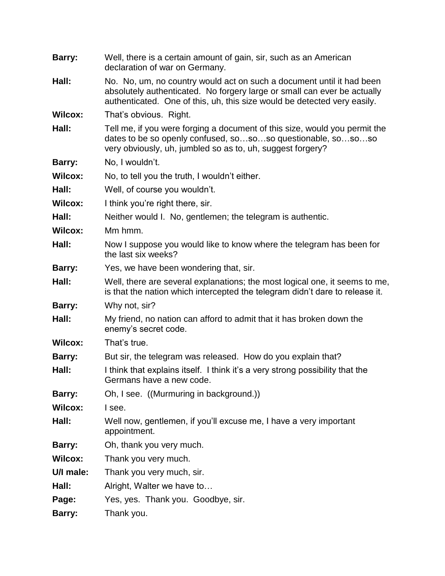| Barry:         | Well, there is a certain amount of gain, sir, such as an American<br>declaration of war on Germany.                                                                                                                           |
|----------------|-------------------------------------------------------------------------------------------------------------------------------------------------------------------------------------------------------------------------------|
| Hall:          | No. No, um, no country would act on such a document until it had been<br>absolutely authenticated. No forgery large or small can ever be actually<br>authenticated. One of this, uh, this size would be detected very easily. |
| <b>Wilcox:</b> | That's obvious. Right.                                                                                                                                                                                                        |
| Hall:          | Tell me, if you were forging a document of this size, would you permit the<br>dates to be so openly confused, sososo questionable, sososo<br>very obviously, uh, jumbled so as to, uh, suggest forgery?                       |
| Barry:         | No, I wouldn't.                                                                                                                                                                                                               |
| <b>Wilcox:</b> | No, to tell you the truth, I wouldn't either.                                                                                                                                                                                 |
| Hall:          | Well, of course you wouldn't.                                                                                                                                                                                                 |
| <b>Wilcox:</b> | I think you're right there, sir.                                                                                                                                                                                              |
| Hall:          | Neither would I. No, gentlemen; the telegram is authentic.                                                                                                                                                                    |
| <b>Wilcox:</b> | Mm hmm.                                                                                                                                                                                                                       |
| Hall:          | Now I suppose you would like to know where the telegram has been for<br>the last six weeks?                                                                                                                                   |
| Barry:         | Yes, we have been wondering that, sir.                                                                                                                                                                                        |
| Hall:          | Well, there are several explanations; the most logical one, it seems to me,<br>is that the nation which intercepted the telegram didn't dare to release it.                                                                   |
| Barry:         | Why not, sir?                                                                                                                                                                                                                 |
| Hall:          | My friend, no nation can afford to admit that it has broken down the<br>enemy's secret code.                                                                                                                                  |
| <b>Wilcox:</b> | That's true.                                                                                                                                                                                                                  |
| Barry:         | But sir, the telegram was released. How do you explain that?                                                                                                                                                                  |
| Hall:          | I think that explains itself. I think it's a very strong possibility that the<br>Germans have a new code.                                                                                                                     |
| Barry:         | Oh, I see. ((Murmuring in background.))                                                                                                                                                                                       |
| <b>Wilcox:</b> | I see.                                                                                                                                                                                                                        |
| Hall:          | Well now, gentlemen, if you'll excuse me, I have a very important<br>appointment.                                                                                                                                             |
| Barry:         | Oh, thank you very much.                                                                                                                                                                                                      |
| <b>Wilcox:</b> | Thank you very much.                                                                                                                                                                                                          |
| U/I male:      | Thank you very much, sir.                                                                                                                                                                                                     |
| Hall:          | Alright, Walter we have to                                                                                                                                                                                                    |
| Page:          | Yes, yes. Thank you. Goodbye, sir.                                                                                                                                                                                            |
| Barry:         | Thank you.                                                                                                                                                                                                                    |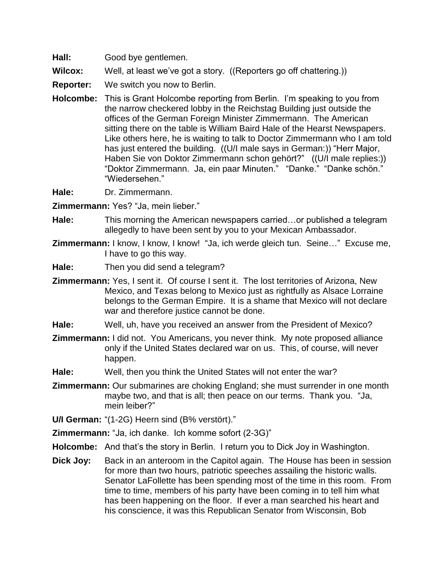**Hall:** Good bye gentlemen.

**Wilcox:** Well, at least we've got a story. ((Reporters go off chattering.))

- **Reporter:** We switch you now to Berlin.
- **Holcombe:** This is Grant Holcombe reporting from Berlin. I"m speaking to you from the narrow checkered lobby in the Reichstag Building just outside the offices of the German Foreign Minister Zimmermann. The American sitting there on the table is William Baird Hale of the Hearst Newspapers. Like others here, he is waiting to talk to Doctor Zimmermann who I am told has just entered the building. ((U/I male says in German:)) "Herr Major, Haben Sie von Doktor Zimmermann schon gehört?" ((U/I male replies:)) "Doktor Zimmermann. Ja, ein paar Minuten." "Danke." "Danke schön." "Wiedersehen."

**Hale:** Dr. Zimmermann.

**Zimmermann:** Yes? "Ja, mein lieber."

- **Hale:** This morning the American newspapers carried…or published a telegram allegedly to have been sent by you to your Mexican Ambassador.
- **Zimmermann:** I know, I know, I know! "Ja, ich werde gleich tun. Seine…" Excuse me, I have to go this way.
- **Hale:** Then you did send a telegram?
- **Zimmermann:** Yes, I sent it. Of course I sent it. The lost territories of Arizona, New Mexico, and Texas belong to Mexico just as rightfully as Alsace Lorraine belongs to the German Empire. It is a shame that Mexico will not declare war and therefore justice cannot be done.
- **Hale:** Well, uh, have you received an answer from the President of Mexico?
- **Zimmermann:** I did not. You Americans, you never think. My note proposed alliance only if the United States declared war on us. This, of course, will never happen.
- **Hale:** Well, then you think the United States will not enter the war?
- **Zimmermann:** Our submarines are choking England; she must surrender in one month maybe two, and that is all; then peace on our terms. Thank you. "Ja, mein leiber?"

**U/I German:** "(1-2G) Heern sind (B% verstört)."

**Zimmermann:** "Ja, ich danke. Ich komme sofort (2-3G)"

**Holcombe:** And that's the story in Berlin. I return you to Dick Joy in Washington.

**Dick Joy:** Back in an anteroom in the Capitol again. The House has been in session for more than two hours, patriotic speeches assailing the historic walls. Senator LaFollette has been spending most of the time in this room. From time to time, members of his party have been coming in to tell him what has been happening on the floor. If ever a man searched his heart and his conscience, it was this Republican Senator from Wisconsin, Bob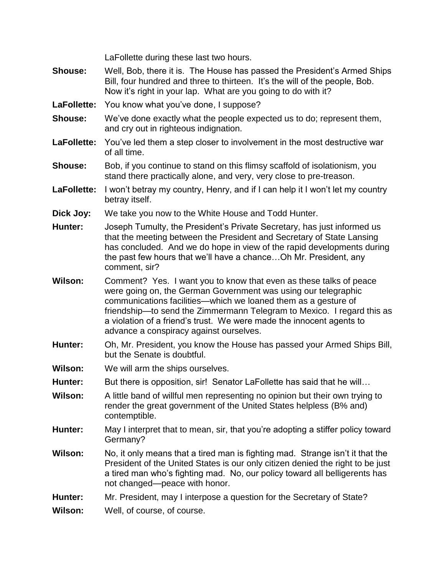LaFollette during these last two hours.

- **Shouse:** Well, Bob, there it is. The House has passed the President"s Armed Ships Bill, four hundred and three to thirteen. It"s the will of the people, Bob. Now it's right in your lap. What are you going to do with it?
- LaFollette: You know what you've done, I suppose?
- **Shouse:** We"ve done exactly what the people expected us to do; represent them, and cry out in righteous indignation.
- LaFollette: You've led them a step closer to involvement in the most destructive war of all time.
- **Shouse:** Bob, if you continue to stand on this flimsy scaffold of isolationism, you stand there practically alone, and very, very close to pre-treason.
- **LaFollette:** I won"t betray my country, Henry, and if I can help it I won"t let my country betray itself.
- **Dick Joy:** We take you now to the White House and Todd Hunter.
- **Hunter:** Joseph Tumulty, the President"s Private Secretary, has just informed us that the meeting between the President and Secretary of State Lansing has concluded. And we do hope in view of the rapid developments during the past few hours that we"ll have a chance…Oh Mr. President, any comment, sir?
- **Wilson:** Comment? Yes. I want you to know that even as these talks of peace were going on, the German Government was using our telegraphic communications facilities—which we loaned them as a gesture of friendship—to send the Zimmermann Telegram to Mexico. I regard this as a violation of a friend"s trust. We were made the innocent agents to advance a conspiracy against ourselves.
- **Hunter:** Oh, Mr. President, you know the House has passed your Armed Ships Bill, but the Senate is doubtful.
- **Wilson:** We will arm the ships ourselves.
- **Hunter:** But there is opposition, sir! Senator LaFollette has said that he will…
- **Wilson:** A little band of willful men representing no opinion but their own trying to render the great government of the United States helpless (B% and) contemptible.
- **Hunter:** May I interpret that to mean, sir, that you"re adopting a stiffer policy toward Germany?
- **Wilson:** No, it only means that a tired man is fighting mad. Strange isn"t it that the President of the United States is our only citizen denied the right to be just a tired man who"s fighting mad. No, our policy toward all belligerents has not changed—peace with honor.
- **Hunter:** Mr. President, may I interpose a question for the Secretary of State?

**Wilson:** Well, of course, of course.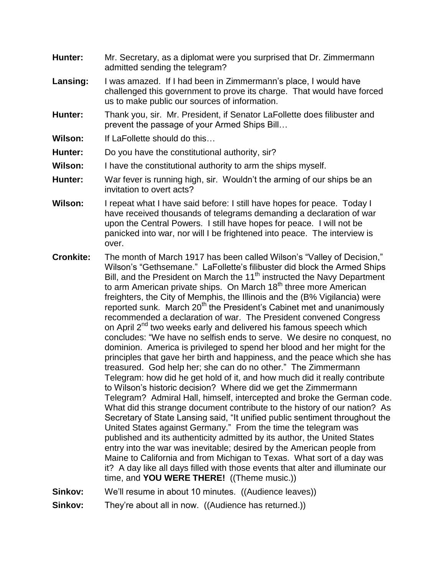- **Hunter:** Mr. Secretary, as a diplomat were you surprised that Dr. Zimmermann admitted sending the telegram?
- Lansing: I was amazed. If I had been in Zimmermann's place, I would have challenged this government to prove its charge. That would have forced us to make public our sources of information.
- **Hunter:** Thank you, sir. Mr. President, if Senator LaFollette does filibuster and prevent the passage of your Armed Ships Bill…
- **Wilson:** If LaFollette should do this…
- **Hunter:** Do you have the constitutional authority, sir?
- **Wilson:** I have the constitutional authority to arm the ships myself.
- **Hunter:** War fever is running high, sir. Wouldn"t the arming of our ships be an invitation to overt acts?
- **Wilson:** I repeat what I have said before: I still have hopes for peace. Today I have received thousands of telegrams demanding a declaration of war upon the Central Powers. I still have hopes for peace. I will not be panicked into war, nor will I be frightened into peace. The interview is over.
- **Cronkite:** The month of March 1917 has been called Wilson's "Valley of Decision," Wilson's "Gethsemane." LaFollette's filibuster did block the Armed Ships Bill, and the President on March the 11<sup>th</sup> instructed the Navy Department to arm American private ships. On March 18<sup>th</sup> three more American freighters, the City of Memphis, the Illinois and the (B% Vigilancia) were reported sunk. March 20<sup>th</sup> the President's Cabinet met and unanimously recommended a declaration of war. The President convened Congress on April 2<sup>nd</sup> two weeks early and delivered his famous speech which concludes: "We have no selfish ends to serve. We desire no conquest, no dominion. America is privileged to spend her blood and her might for the principles that gave her birth and happiness, and the peace which she has treasured. God help her; she can do no other." The Zimmermann Telegram: how did he get hold of it, and how much did it really contribute to Wilson"s historic decision? Where did we get the Zimmermann Telegram? Admiral Hall, himself, intercepted and broke the German code. What did this strange document contribute to the history of our nation? As Secretary of State Lansing said, "It unified public sentiment throughout the United States against Germany." From the time the telegram was published and its authenticity admitted by its author, the United States entry into the war was inevitable; desired by the American people from Maine to California and from Michigan to Texas. What sort of a day was it? A day like all days filled with those events that alter and illuminate our time, and **YOU WERE THERE!** ((Theme music.))
- **Sinkov:** We'll resume in about 10 minutes. ((Audience leaves))
- **Sinkov:** They're about all in now. ((Audience has returned.))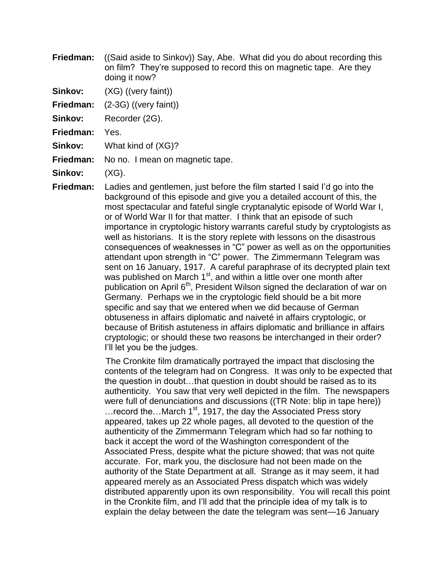- **Friedman:** ((Said aside to Sinkov)) Say, Abe. What did you do about recording this on film? They"re supposed to record this on magnetic tape. Are they doing it now?
- **Sinkov:** (XG) ((very faint))
- **Friedman:** (2-3G) ((very faint))
- Sinkov: Recorder (2G).
- **Friedman:** Yes.
- **Sinkov:** What kind of (XG)?
- **Friedman:** No no. I mean on magnetic tape.
- **Sinkov:** (XG).
- **Friedman:** Ladies and gentlemen, just before the film started I said I"d go into the background of this episode and give you a detailed account of this, the most spectacular and fateful single cryptanalytic episode of World War I, or of World War II for that matter. I think that an episode of such importance in cryptologic history warrants careful study by cryptologists as well as historians. It is the story replete with lessons on the disastrous consequences of weaknesses in "C" power as well as on the opportunities attendant upon strength in "C" power. The Zimmermann Telegram was sent on 16 January, 1917. A careful paraphrase of its decrypted plain text was published on March 1<sup>st</sup>, and within a little over one month after publication on April 6<sup>th</sup>, President Wilson signed the declaration of war on Germany. Perhaps we in the cryptologic field should be a bit more specific and say that we entered when we did because of German obtuseness in affairs diplomatic and naiveté in affairs cryptologic, or because of British astuteness in affairs diplomatic and brilliance in affairs cryptologic; or should these two reasons be interchanged in their order? I"ll let you be the judges.

 The Cronkite film dramatically portrayed the impact that disclosing the contents of the telegram had on Congress. It was only to be expected that the question in doubt…that question in doubt should be raised as to its authenticity. You saw that very well depicted in the film. The newspapers were full of denunciations and discussions ((TR Note: blip in tape here)) ... record the... March  $1<sup>st</sup>$ , 1917, the day the Associated Press story appeared, takes up 22 whole pages, all devoted to the question of the authenticity of the Zimmermann Telegram which had so far nothing to back it accept the word of the Washington correspondent of the Associated Press, despite what the picture showed; that was not quite accurate. For, mark you, the disclosure had not been made on the authority of the State Department at all. Strange as it may seem, it had appeared merely as an Associated Press dispatch which was widely distributed apparently upon its own responsibility. You will recall this point in the Cronkite film, and I"ll add that the principle idea of my talk is to explain the delay between the date the telegram was sent—16 January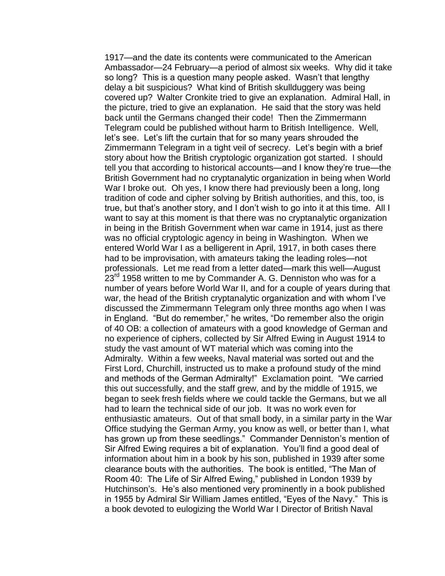1917—and the date its contents were communicated to the American Ambassador—24 February—a period of almost six weeks. Why did it take so long? This is a question many people asked. Wasn"t that lengthy delay a bit suspicious? What kind of British skullduggery was being covered up? Walter Cronkite tried to give an explanation. Admiral Hall, in the picture, tried to give an explanation. He said that the story was held back until the Germans changed their code! Then the Zimmermann Telegram could be published without harm to British Intelligence. Well, let's see. Let's lift the curtain that for so many years shrouded the Zimmermann Telegram in a tight veil of secrecy. Let"s begin with a brief story about how the British cryptologic organization got started. I should tell you that according to historical accounts—and I know they"re true—the British Government had no cryptanalytic organization in being when World War I broke out. Oh yes, I know there had previously been a long, long tradition of code and cipher solving by British authorities, and this, too, is true, but that"s another story, and I don"t wish to go into it at this time. All I want to say at this moment is that there was no cryptanalytic organization in being in the British Government when war came in 1914, just as there was no official cryptologic agency in being in Washington. When we entered World War I as a belligerent in April, 1917, in both cases there had to be improvisation, with amateurs taking the leading roles—not professionals. Let me read from a letter dated—mark this well—August  $23<sup>rd</sup>$  1958 written to me by Commander A. G. Denniston who was for a number of years before World War II, and for a couple of years during that war, the head of the British cryptanalytic organization and with whom I've discussed the Zimmermann Telegram only three months ago when I was in England. "But do remember," he writes, "Do remember also the origin of 40 OB: a collection of amateurs with a good knowledge of German and no experience of ciphers, collected by Sir Alfred Ewing in August 1914 to study the vast amount of WT material which was coming into the Admiralty. Within a few weeks, Naval material was sorted out and the First Lord, Churchill, instructed us to make a profound study of the mind and methods of the German Admiralty!" Exclamation point. "We carried this out successfully, and the staff grew, and by the middle of 1915, we began to seek fresh fields where we could tackle the Germans, but we all had to learn the technical side of our job. It was no work even for enthusiastic amateurs. Out of that small body, in a similar party in the War Office studying the German Army, you know as well, or better than I, what has grown up from these seedlings." Commander Denniston's mention of Sir Alfred Ewing requires a bit of explanation. You"ll find a good deal of information about him in a book by his son, published in 1939 after some clearance bouts with the authorities. The book is entitled, "The Man of Room 40: The Life of Sir Alfred Ewing," published in London 1939 by Hutchinson's. He's also mentioned very prominently in a book published in 1955 by Admiral Sir William James entitled, "Eyes of the Navy." This is a book devoted to eulogizing the World War I Director of British Naval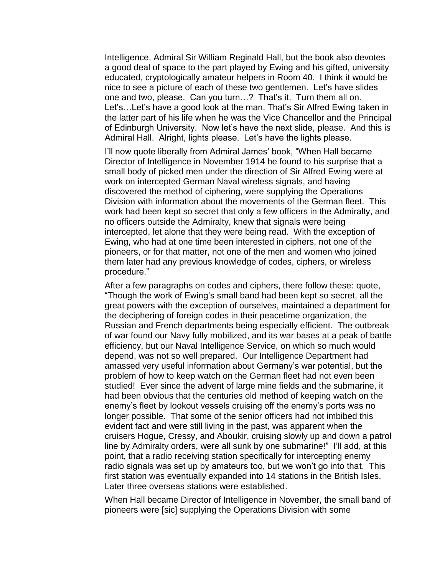Intelligence, Admiral Sir William Reginald Hall, but the book also devotes a good deal of space to the part played by Ewing and his gifted, university educated, cryptologically amateur helpers in Room 40. I think it would be nice to see a picture of each of these two gentlemen. Let's have slides one and two, please. Can you turn…? That"s it. Turn them all on. Let's... Let's have a good look at the man. That's Sir Alfred Ewing taken in the latter part of his life when he was the Vice Chancellor and the Principal of Edinburgh University. Now let's have the next slide, please. And this is Admiral Hall. Alright, lights please. Let's have the lights please.

I"ll now quote liberally from Admiral James" book, "When Hall became Director of Intelligence in November 1914 he found to his surprise that a small body of picked men under the direction of Sir Alfred Ewing were at work on intercepted German Naval wireless signals, and having discovered the method of ciphering, were supplying the Operations Division with information about the movements of the German fleet. This work had been kept so secret that only a few officers in the Admiralty, and no officers outside the Admiralty, knew that signals were being intercepted, let alone that they were being read. With the exception of Ewing, who had at one time been interested in ciphers, not one of the pioneers, or for that matter, not one of the men and women who joined them later had any previous knowledge of codes, ciphers, or wireless procedure."

After a few paragraphs on codes and ciphers, there follow these: quote, "Though the work of Ewing"s small band had been kept so secret, all the great powers with the exception of ourselves, maintained a department for the deciphering of foreign codes in their peacetime organization, the Russian and French departments being especially efficient. The outbreak of war found our Navy fully mobilized, and its war bases at a peak of battle efficiency, but our Naval Intelligence Service, on which so much would depend, was not so well prepared. Our Intelligence Department had amassed very useful information about Germany"s war potential, but the problem of how to keep watch on the German fleet had not even been studied! Ever since the advent of large mine fields and the submarine, it had been obvious that the centuries old method of keeping watch on the enemy"s fleet by lookout vessels cruising off the enemy"s ports was no longer possible. That some of the senior officers had not imbibed this evident fact and were still living in the past, was apparent when the cruisers Hogue, Cressy, and Aboukir, cruising slowly up and down a patrol line by Admiralty orders, were all sunk by one submarine!" I"ll add, at this point, that a radio receiving station specifically for intercepting enemy radio signals was set up by amateurs too, but we won"t go into that. This first station was eventually expanded into 14 stations in the British Isles. Later three overseas stations were established.

When Hall became Director of Intelligence in November, the small band of pioneers were [sic] supplying the Operations Division with some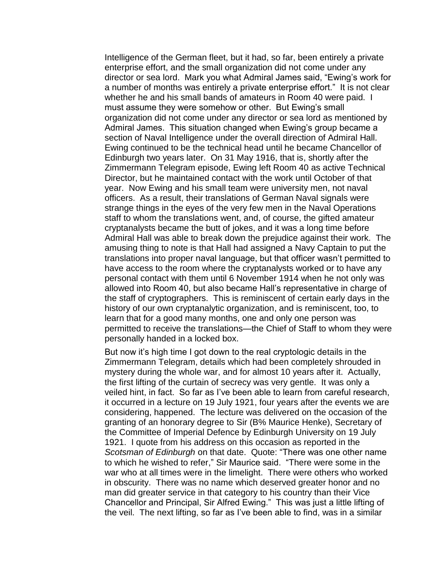Intelligence of the German fleet, but it had, so far, been entirely a private enterprise effort, and the small organization did not come under any director or sea lord. Mark you what Admiral James said, "Ewing"s work for a number of months was entirely a private enterprise effort." It is not clear whether he and his small bands of amateurs in Room 40 were paid. I must assume they were somehow or other. But Ewing"s small organization did not come under any director or sea lord as mentioned by Admiral James. This situation changed when Ewing's group became a section of Naval Intelligence under the overall direction of Admiral Hall. Ewing continued to be the technical head until he became Chancellor of Edinburgh two years later. On 31 May 1916, that is, shortly after the Zimmermann Telegram episode, Ewing left Room 40 as active Technical Director, but he maintained contact with the work until October of that year. Now Ewing and his small team were university men, not naval officers. As a result, their translations of German Naval signals were strange things in the eyes of the very few men in the Naval Operations staff to whom the translations went, and, of course, the gifted amateur cryptanalysts became the butt of jokes, and it was a long time before Admiral Hall was able to break down the prejudice against their work. The amusing thing to note is that Hall had assigned a Navy Captain to put the translations into proper naval language, but that officer wasn"t permitted to have access to the room where the cryptanalysts worked or to have any personal contact with them until 6 November 1914 when he not only was allowed into Room 40, but also became Hall"s representative in charge of the staff of cryptographers. This is reminiscent of certain early days in the history of our own cryptanalytic organization, and is reminiscent, too, to learn that for a good many months, one and only one person was permitted to receive the translations—the Chief of Staff to whom they were personally handed in a locked box.

But now it's high time I got down to the real cryptologic details in the Zimmermann Telegram, details which had been completely shrouded in mystery during the whole war, and for almost 10 years after it. Actually, the first lifting of the curtain of secrecy was very gentle. It was only a veiled hint, in fact. So far as I"ve been able to learn from careful research, it occurred in a lecture on 19 July 1921, four years after the events we are considering, happened. The lecture was delivered on the occasion of the granting of an honorary degree to Sir (B% Maurice Henke), Secretary of the Committee of Imperial Defence by Edinburgh University on 19 July 1921. I quote from his address on this occasion as reported in the *Scotsman of Edinburgh* on that date. Quote: "There was one other name to which he wished to refer," Sir Maurice said. "There were some in the war who at all times were in the limelight. There were others who worked in obscurity. There was no name which deserved greater honor and no man did greater service in that category to his country than their Vice Chancellor and Principal, Sir Alfred Ewing." This was just a little lifting of the veil. The next lifting, so far as I"ve been able to find, was in a similar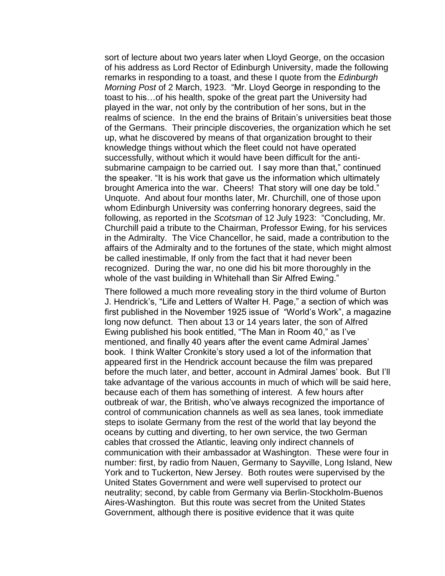sort of lecture about two years later when Lloyd George, on the occasion of his address as Lord Rector of Edinburgh University, made the following remarks in responding to a toast, and these I quote from the *Edinburgh Morning Post* of 2 March, 1923. "Mr. Lloyd George in responding to the toast to his…of his health, spoke of the great part the University had played in the war, not only by the contribution of her sons, but in the realms of science. In the end the brains of Britain"s universities beat those of the Germans. Their principle discoveries, the organization which he set up, what he discovered by means of that organization brought to their knowledge things without which the fleet could not have operated successfully, without which it would have been difficult for the antisubmarine campaign to be carried out. I say more than that," continued the speaker. "It is his work that gave us the information which ultimately brought America into the war. Cheers! That story will one day be told." Unquote. And about four months later, Mr. Churchill, one of those upon whom Edinburgh University was conferring honorary degrees, said the following, as reported in the *Scotsman* of 12 July 1923: "Concluding, Mr. Churchill paid a tribute to the Chairman, Professor Ewing, for his services in the Admiralty. The Vice Chancellor, he said, made a contribution to the affairs of the Admiralty and to the fortunes of the state, which might almost be called inestimable, If only from the fact that it had never been recognized. During the war, no one did his bit more thoroughly in the whole of the vast building in Whitehall than Sir Alfred Ewing."

There followed a much more revealing story in the third volume of Burton J. Hendrick"s, "Life and Letters of Walter H. Page," a section of which was first published in the November 1925 issue of "World"s Work", a magazine long now defunct. Then about 13 or 14 years later, the son of Alfred Ewing published his book entitled, "The Man in Room 40," as I"ve mentioned, and finally 40 years after the event came Admiral James" book. I think Walter Cronkite"s story used a lot of the information that appeared first in the Hendrick account because the film was prepared before the much later, and better, account in Admiral James" book. But I"ll take advantage of the various accounts in much of which will be said here, because each of them has something of interest. A few hours after outbreak of war, the British, who"ve always recognized the importance of control of communication channels as well as sea lanes, took immediate steps to isolate Germany from the rest of the world that lay beyond the oceans by cutting and diverting, to her own service, the two German cables that crossed the Atlantic, leaving only indirect channels of communication with their ambassador at Washington. These were four in number: first, by radio from Nauen, Germany to Sayville, Long Island, New York and to Tuckerton, New Jersey. Both routes were supervised by the United States Government and were well supervised to protect our neutrality; second, by cable from Germany via Berlin-Stockholm-Buenos Aires-Washington. But this route was secret from the United States Government, although there is positive evidence that it was quite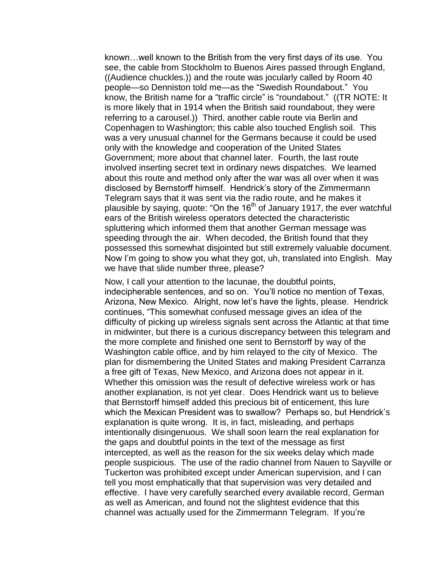known…well known to the British from the very first days of its use. You see, the cable from Stockholm to Buenos Aires passed through England, ((Audience chuckles.)) and the route was jocularly called by Room 40 people—so Denniston told me—as the "Swedish Roundabout." You know, the British name for a "traffic circle" is "roundabout." ((TR NOTE: It is more likely that in 1914 when the British said roundabout, they were referring to a carousel.)) Third, another cable route via Berlin and Copenhagen to Washington; this cable also touched English soil. This was a very unusual channel for the Germans because it could be used only with the knowledge and cooperation of the United States Government; more about that channel later. Fourth, the last route involved inserting secret text in ordinary news dispatches. We learned about this route and method only after the war was all over when it was disclosed by Bernstorff himself. Hendrick"s story of the Zimmermann Telegram says that it was sent via the radio route, and he makes it plausible by saying, quote: "On the 16<sup>th</sup> of January 1917, the ever watchful ears of the British wireless operators detected the characteristic spluttering which informed them that another German message was speeding through the air. When decoded, the British found that they possessed this somewhat disjointed but still extremely valuable document. Now I"m going to show you what they got, uh, translated into English. May we have that slide number three, please?

Now, I call your attention to the lacunae, the doubtful points, indecipherable sentences, and so on. You"ll notice no mention of Texas, Arizona, New Mexico. Alright, now let"s have the lights, please. Hendrick continues, "This somewhat confused message gives an idea of the difficulty of picking up wireless signals sent across the Atlantic at that time in midwinter, but there is a curious discrepancy between this telegram and the more complete and finished one sent to Bernstorff by way of the Washington cable office, and by him relayed to the city of Mexico. The plan for dismembering the United States and making President Carranza a free gift of Texas, New Mexico, and Arizona does not appear in it. Whether this omission was the result of defective wireless work or has another explanation, is not yet clear. Does Hendrick want us to believe that Bernstorff himself added this precious bit of enticement, this lure which the Mexican President was to swallow? Perhaps so, but Hendrick's explanation is quite wrong. It is, in fact, misleading, and perhaps intentionally disingenuous. We shall soon learn the real explanation for the gaps and doubtful points in the text of the message as first intercepted, as well as the reason for the six weeks delay which made people suspicious. The use of the radio channel from Nauen to Sayville or Tuckerton was prohibited except under American supervision, and I can tell you most emphatically that that supervision was very detailed and effective. I have very carefully searched every available record, German as well as American, and found not the slightest evidence that this channel was actually used for the Zimmermann Telegram. If you"re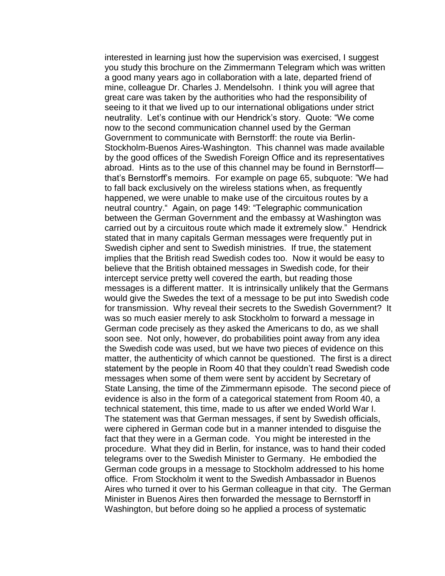interested in learning just how the supervision was exercised, I suggest you study this brochure on the Zimmermann Telegram which was written a good many years ago in collaboration with a late, departed friend of mine, colleague Dr. Charles J. Mendelsohn. I think you will agree that great care was taken by the authorities who had the responsibility of seeing to it that we lived up to our international obligations under strict neutrality. Let's continue with our Hendrick's story. Quote: "We come now to the second communication channel used by the German Government to communicate with Bernstorff: the route via Berlin-Stockholm-Buenos Aires-Washington. This channel was made available by the good offices of the Swedish Foreign Office and its representatives abroad. Hints as to the use of this channel may be found in Bernstorff that"s Bernstorff"s memoirs. For example on page 65, subquote: "We had to fall back exclusively on the wireless stations when, as frequently happened, we were unable to make use of the circuitous routes by a neutral country." Again, on page 149: "Telegraphic communication between the German Government and the embassy at Washington was carried out by a circuitous route which made it extremely slow." Hendrick stated that in many capitals German messages were frequently put in Swedish cipher and sent to Swedish ministries. If true, the statement implies that the British read Swedish codes too. Now it would be easy to believe that the British obtained messages in Swedish code, for their intercept service pretty well covered the earth, but reading those messages is a different matter. It is intrinsically unlikely that the Germans would give the Swedes the text of a message to be put into Swedish code for transmission. Why reveal their secrets to the Swedish Government? It was so much easier merely to ask Stockholm to forward a message in German code precisely as they asked the Americans to do, as we shall soon see. Not only, however, do probabilities point away from any idea the Swedish code was used, but we have two pieces of evidence on this matter, the authenticity of which cannot be questioned. The first is a direct statement by the people in Room 40 that they couldn"t read Swedish code messages when some of them were sent by accident by Secretary of State Lansing, the time of the Zimmermann episode. The second piece of evidence is also in the form of a categorical statement from Room 40, a technical statement, this time, made to us after we ended World War I. The statement was that German messages, if sent by Swedish officials, were ciphered in German code but in a manner intended to disguise the fact that they were in a German code. You might be interested in the procedure. What they did in Berlin, for instance, was to hand their coded telegrams over to the Swedish Minister to Germany. He embodied the German code groups in a message to Stockholm addressed to his home office. From Stockholm it went to the Swedish Ambassador in Buenos Aires who turned it over to his German colleague in that city. The German Minister in Buenos Aires then forwarded the message to Bernstorff in Washington, but before doing so he applied a process of systematic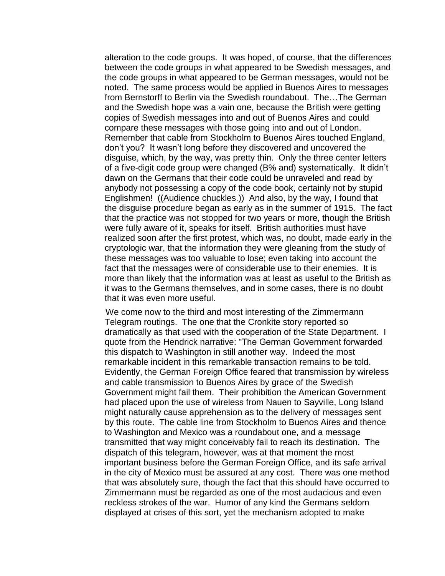alteration to the code groups. It was hoped, of course, that the differences between the code groups in what appeared to be Swedish messages, and the code groups in what appeared to be German messages, would not be noted. The same process would be applied in Buenos Aires to messages from Bernstorff to Berlin via the Swedish roundabout. The…The German and the Swedish hope was a vain one, because the British were getting copies of Swedish messages into and out of Buenos Aires and could compare these messages with those going into and out of London. Remember that cable from Stockholm to Buenos Aires touched England, don"t you? It wasn"t long before they discovered and uncovered the disguise, which, by the way, was pretty thin. Only the three center letters of a five-digit code group were changed (B% and) systematically. It didn"t dawn on the Germans that their code could be unraveled and read by anybody not possessing a copy of the code book, certainly not by stupid Englishmen! ((Audience chuckles.)) And also, by the way, I found that the disguise procedure began as early as in the summer of 1915. The fact that the practice was not stopped for two years or more, though the British were fully aware of it, speaks for itself. British authorities must have realized soon after the first protest, which was, no doubt, made early in the cryptologic war, that the information they were gleaning from the study of these messages was too valuable to lose; even taking into account the fact that the messages were of considerable use to their enemies. It is more than likely that the information was at least as useful to the British as it was to the Germans themselves, and in some cases, there is no doubt that it was even more useful.

 We come now to the third and most interesting of the Zimmermann Telegram routings. The one that the Cronkite story reported so dramatically as that used with the cooperation of the State Department. I quote from the Hendrick narrative: "The German Government forwarded this dispatch to Washington in still another way. Indeed the most remarkable incident in this remarkable transaction remains to be told. Evidently, the German Foreign Office feared that transmission by wireless and cable transmission to Buenos Aires by grace of the Swedish Government might fail them. Their prohibition the American Government had placed upon the use of wireless from Nauen to Sayville, Long Island might naturally cause apprehension as to the delivery of messages sent by this route. The cable line from Stockholm to Buenos Aires and thence to Washington and Mexico was a roundabout one, and a message transmitted that way might conceivably fail to reach its destination. The dispatch of this telegram, however, was at that moment the most important business before the German Foreign Office, and its safe arrival in the city of Mexico must be assured at any cost. There was one method that was absolutely sure, though the fact that this should have occurred to Zimmermann must be regarded as one of the most audacious and even reckless strokes of the war. Humor of any kind the Germans seldom displayed at crises of this sort, yet the mechanism adopted to make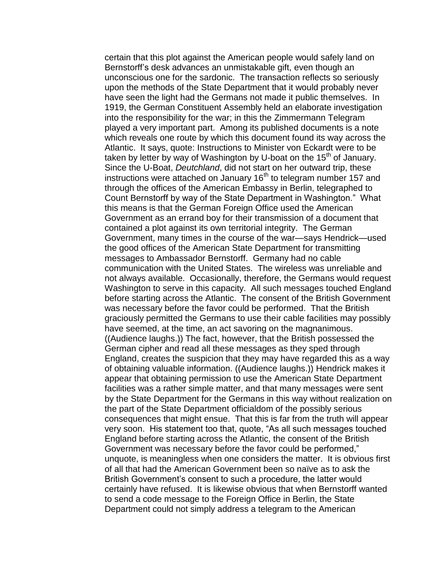certain that this plot against the American people would safely land on Bernstorff"s desk advances an unmistakable gift, even though an unconscious one for the sardonic. The transaction reflects so seriously upon the methods of the State Department that it would probably never have seen the light had the Germans not made it public themselves. In 1919, the German Constituent Assembly held an elaborate investigation into the responsibility for the war; in this the Zimmermann Telegram played a very important part. Among its published documents is a note which reveals one route by which this document found its way across the Atlantic. It says, quote: Instructions to Minister von Eckardt were to be taken by letter by way of Washington by U-boat on the 15<sup>th</sup> of January. Since the U-Boat, *Deutchland*, did not start on her outward trip, these instructions were attached on January 16<sup>th</sup> to telegram number 157 and through the offices of the American Embassy in Berlin, telegraphed to Count Bernstorff by way of the State Department in Washington." What this means is that the German Foreign Office used the American Government as an errand boy for their transmission of a document that contained a plot against its own territorial integrity. The German Government, many times in the course of the war—says Hendrick—used the good offices of the American State Department for transmitting messages to Ambassador Bernstorff. Germany had no cable communication with the United States. The wireless was unreliable and not always available. Occasionally, therefore, the Germans would request Washington to serve in this capacity. All such messages touched England before starting across the Atlantic. The consent of the British Government was necessary before the favor could be performed. That the British graciously permitted the Germans to use their cable facilities may possibly have seemed, at the time, an act savoring on the magnanimous. ((Audience laughs.)) The fact, however, that the British possessed the German cipher and read all these messages as they sped through England, creates the suspicion that they may have regarded this as a way of obtaining valuable information. ((Audience laughs.)) Hendrick makes it appear that obtaining permission to use the American State Department facilities was a rather simple matter, and that many messages were sent by the State Department for the Germans in this way without realization on the part of the State Department officialdom of the possibly serious consequences that might ensue. That this is far from the truth will appear very soon. His statement too that, quote, "As all such messages touched England before starting across the Atlantic, the consent of the British Government was necessary before the favor could be performed," unquote, is meaningless when one considers the matter. It is obvious first of all that had the American Government been so naïve as to ask the British Government"s consent to such a procedure, the latter would certainly have refused. It is likewise obvious that when Bernstorff wanted to send a code message to the Foreign Office in Berlin, the State Department could not simply address a telegram to the American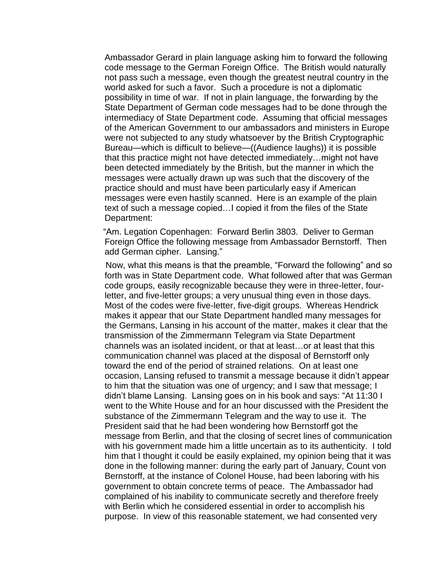Ambassador Gerard in plain language asking him to forward the following code message to the German Foreign Office. The British would naturally not pass such a message, even though the greatest neutral country in the world asked for such a favor. Such a procedure is not a diplomatic possibility in time of war. If not in plain language, the forwarding by the State Department of German code messages had to be done through the intermediacy of State Department code. Assuming that official messages of the American Government to our ambassadors and ministers in Europe were not subjected to any study whatsoever by the British Cryptographic Bureau—which is difficult to believe—((Audience laughs)) it is possible that this practice might not have detected immediately…might not have been detected immediately by the British, but the manner in which the messages were actually drawn up was such that the discovery of the practice should and must have been particularly easy if American messages were even hastily scanned. Here is an example of the plain text of such a message copied…I copied it from the files of the State Department:

 "Am. Legation Copenhagen: Forward Berlin 3803. Deliver to German Foreign Office the following message from Ambassador Bernstorff. Then add German cipher. Lansing."

 Now, what this means is that the preamble, "Forward the following" and so forth was in State Department code. What followed after that was German code groups, easily recognizable because they were in three-letter, fourletter, and five-letter groups; a very unusual thing even in those days. Most of the codes were five-letter, five-digit groups. Whereas Hendrick makes it appear that our State Department handled many messages for the Germans, Lansing in his account of the matter, makes it clear that the transmission of the Zimmermann Telegram via State Department channels was an isolated incident, or that at least…or at least that this communication channel was placed at the disposal of Bernstorff only toward the end of the period of strained relations. On at least one occasion, Lansing refused to transmit a message because it didn"t appear to him that the situation was one of urgency; and I saw that message; I didn"t blame Lansing. Lansing goes on in his book and says: "At 11:30 I went to the White House and for an hour discussed with the President the substance of the Zimmermann Telegram and the way to use it. The President said that he had been wondering how Bernstorff got the message from Berlin, and that the closing of secret lines of communication with his government made him a little uncertain as to its authenticity. I told him that I thought it could be easily explained, my opinion being that it was done in the following manner: during the early part of January, Count von Bernstorff, at the instance of Colonel House, had been laboring with his government to obtain concrete terms of peace. The Ambassador had complained of his inability to communicate secretly and therefore freely with Berlin which he considered essential in order to accomplish his purpose. In view of this reasonable statement, we had consented very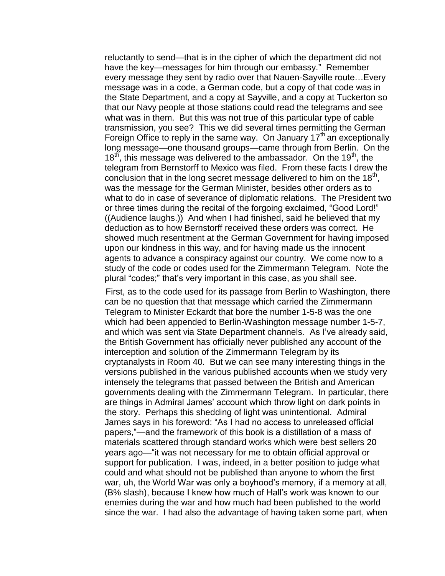reluctantly to send—that is in the cipher of which the department did not have the key—messages for him through our embassy." Remember every message they sent by radio over that Nauen-Sayville route…Every message was in a code, a German code, but a copy of that code was in the State Department, and a copy at Sayville, and a copy at Tuckerton so that our Navy people at those stations could read the telegrams and see what was in them. But this was not true of this particular type of cable transmission, you see? This we did several times permitting the German Foreign Office to reply in the same way. On January  $17<sup>th</sup>$  an exceptionally long message—one thousand groups—came through from Berlin. On the  $18<sup>th</sup>$ , this message was delivered to the ambassador. On the  $19<sup>th</sup>$ , the telegram from Bernstorff to Mexico was filed. From these facts I drew the conclusion that in the long secret message delivered to him on the 18<sup>th</sup>, was the message for the German Minister, besides other orders as to what to do in case of severance of diplomatic relations. The President two or three times during the recital of the forgoing exclaimed, "Good Lord!" ((Audience laughs.)) And when I had finished, said he believed that my deduction as to how Bernstorff received these orders was correct. He showed much resentment at the German Government for having imposed upon our kindness in this way, and for having made us the innocent agents to advance a conspiracy against our country. We come now to a study of the code or codes used for the Zimmermann Telegram. Note the plural "codes;" that"s very important in this case, as you shall see.

 First, as to the code used for its passage from Berlin to Washington, there can be no question that that message which carried the Zimmermann Telegram to Minister Eckardt that bore the number 1-5-8 was the one which had been appended to Berlin-Washington message number 1-5-7, and which was sent via State Department channels. As I"ve already said, the British Government has officially never published any account of the interception and solution of the Zimmermann Telegram by its cryptanalysts in Room 40. But we can see many interesting things in the versions published in the various published accounts when we study very intensely the telegrams that passed between the British and American governments dealing with the Zimmermann Telegram. In particular, there are things in Admiral James' account which throw light on dark points in the story. Perhaps this shedding of light was unintentional. Admiral James says in his foreword: "As I had no access to unreleased official papers,"—and the framework of this book is a distillation of a mass of materials scattered through standard works which were best sellers 20 years ago—"it was not necessary for me to obtain official approval or support for publication. I was, indeed, in a better position to judge what could and what should not be published than anyone to whom the first war, uh, the World War was only a boyhood"s memory, if a memory at all, (B% slash), because I knew how much of Hall"s work was known to our enemies during the war and how much had been published to the world since the war. I had also the advantage of having taken some part, when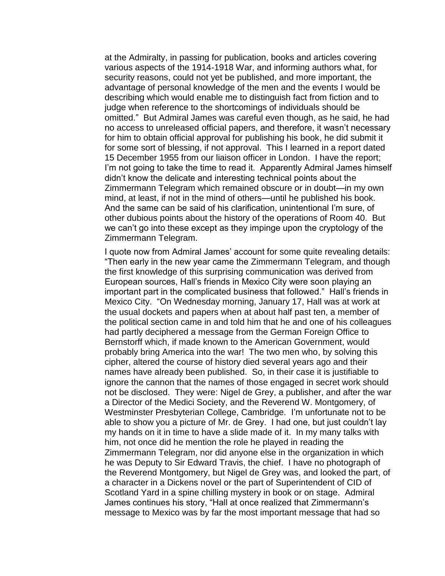at the Admiralty, in passing for publication, books and articles covering various aspects of the 1914-1918 War, and informing authors what, for security reasons, could not yet be published, and more important, the advantage of personal knowledge of the men and the events I would be describing which would enable me to distinguish fact from fiction and to judge when reference to the shortcomings of individuals should be omitted." But Admiral James was careful even though, as he said, he had no access to unreleased official papers, and therefore, it wasn"t necessary for him to obtain official approval for publishing his book, he did submit it for some sort of blessing, if not approval. This I learned in a report dated 15 December 1955 from our liaison officer in London. I have the report; I'm not going to take the time to read it. Apparently Admiral James himself didn"t know the delicate and interesting technical points about the Zimmermann Telegram which remained obscure or in doubt—in my own mind, at least, if not in the mind of others—until he published his book. And the same can be said of his clarification, unintentional I"m sure, of other dubious points about the history of the operations of Room 40. But we can"t go into these except as they impinge upon the cryptology of the Zimmermann Telegram.

I quote now from Admiral James' account for some quite revealing details: "Then early in the new year came the Zimmermann Telegram, and though the first knowledge of this surprising communication was derived from European sources, Hall"s friends in Mexico City were soon playing an important part in the complicated business that followed." Hall"s friends in Mexico City. "On Wednesday morning, January 17, Hall was at work at the usual dockets and papers when at about half past ten, a member of the political section came in and told him that he and one of his colleagues had partly deciphered a message from the German Foreign Office to Bernstorff which, if made known to the American Government, would probably bring America into the war! The two men who, by solving this cipher, altered the course of history died several years ago and their names have already been published. So, in their case it is justifiable to ignore the cannon that the names of those engaged in secret work should not be disclosed. They were: Nigel de Grey, a publisher, and after the war a Director of the Medici Society, and the Reverend W. Montgomery, of Westminster Presbyterian College, Cambridge. I"m unfortunate not to be able to show you a picture of Mr. de Grey. I had one, but just couldn"t lay my hands on it in time to have a slide made of it. In my many talks with him, not once did he mention the role he played in reading the Zimmermann Telegram, nor did anyone else in the organization in which he was Deputy to Sir Edward Travis, the chief. I have no photograph of the Reverend Montgomery, but Nigel de Grey was, and looked the part, of a character in a Dickens novel or the part of Superintendent of CID of Scotland Yard in a spine chilling mystery in book or on stage. Admiral James continues his story, "Hall at once realized that Zimmermann"s message to Mexico was by far the most important message that had so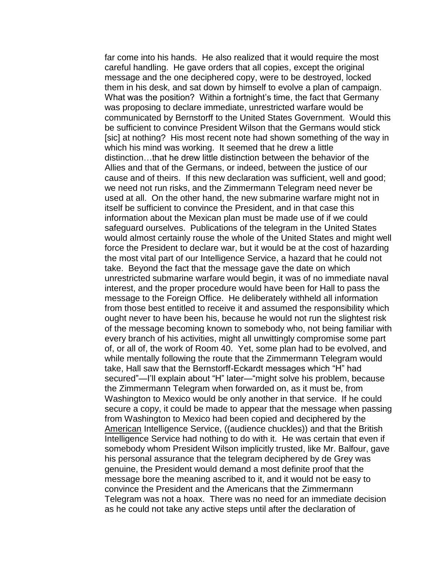far come into his hands. He also realized that it would require the most careful handling. He gave orders that all copies, except the original message and the one deciphered copy, were to be destroyed, locked them in his desk, and sat down by himself to evolve a plan of campaign. What was the position? Within a fortnight's time, the fact that Germany was proposing to declare immediate, unrestricted warfare would be communicated by Bernstorff to the United States Government. Would this be sufficient to convince President Wilson that the Germans would stick [sic] at nothing? His most recent note had shown something of the way in which his mind was working. It seemed that he drew a little distinction…that he drew little distinction between the behavior of the Allies and that of the Germans, or indeed, between the justice of our cause and of theirs. If this new declaration was sufficient, well and good; we need not run risks, and the Zimmermann Telegram need never be used at all. On the other hand, the new submarine warfare might not in itself be sufficient to convince the President, and in that case this information about the Mexican plan must be made use of if we could safeguard ourselves. Publications of the telegram in the United States would almost certainly rouse the whole of the United States and might well force the President to declare war, but it would be at the cost of hazarding the most vital part of our Intelligence Service, a hazard that he could not take. Beyond the fact that the message gave the date on which unrestricted submarine warfare would begin, it was of no immediate naval interest, and the proper procedure would have been for Hall to pass the message to the Foreign Office. He deliberately withheld all information from those best entitled to receive it and assumed the responsibility which ought never to have been his, because he would not run the slightest risk of the message becoming known to somebody who, not being familiar with every branch of his activities, might all unwittingly compromise some part of, or all of, the work of Room 40. Yet, some plan had to be evolved, and while mentally following the route that the Zimmermann Telegram would take, Hall saw that the Bernstorff-Eckardt messages which "H" had secured"—I"ll explain about "H" later—"might solve his problem, because the Zimmermann Telegram when forwarded on, as it must be, from Washington to Mexico would be only another in that service. If he could secure a copy, it could be made to appear that the message when passing from Washington to Mexico had been copied and deciphered by the American Intelligence Service, ((audience chuckles)) and that the British Intelligence Service had nothing to do with it. He was certain that even if somebody whom President Wilson implicitly trusted, like Mr. Balfour, gave his personal assurance that the telegram deciphered by de Grey was genuine, the President would demand a most definite proof that the message bore the meaning ascribed to it, and it would not be easy to convince the President and the Americans that the Zimmermann Telegram was not a hoax. There was no need for an immediate decision as he could not take any active steps until after the declaration of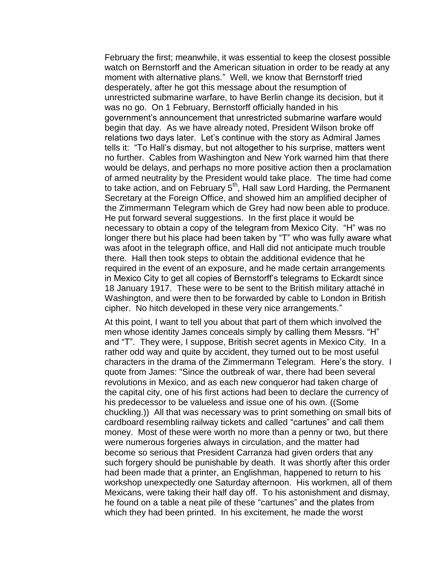February the first; meanwhile, it was essential to keep the closest possible watch on Bernstorff and the American situation in order to be ready at any moment with alternative plans." Well, we know that Bernstorff tried desperately, after he got this message about the resumption of unrestricted submarine warfare, to have Berlin change its decision, but it was no go. On 1 February, Bernstorff officially handed in his government's announcement that unrestricted submarine warfare would begin that day. As we have already noted, President Wilson broke off relations two days later. Let"s continue with the story as Admiral James tells it: "To Hall"s dismay, but not altogether to his surprise, matters went no further. Cables from Washington and New York warned him that there would be delays, and perhaps no more positive action then a proclamation of armed neutrality by the President would take place. The time had come to take action, and on February  $5<sup>th</sup>$ , Hall saw Lord Harding, the Permanent Secretary at the Foreign Office, and showed him an amplified decipher of the Zimmermann Telegram which de Grey had now been able to produce. He put forward several suggestions. In the first place it would be necessary to obtain a copy of the telegram from Mexico City. "H" was no longer there but his place had been taken by "T" who was fully aware what was afoot in the telegraph office, and Hall did not anticipate much trouble there. Hall then took steps to obtain the additional evidence that he required in the event of an exposure, and he made certain arrangements in Mexico City to get all copies of Bernstorff"s telegrams to Eckardt since 18 January 1917. These were to be sent to the British military attaché in Washington, and were then to be forwarded by cable to London in British cipher. No hitch developed in these very nice arrangements."

At this point, I want to tell you about that part of them which involved the men whose identity James conceals simply by calling them Messrs. "H" and "T". They were, I suppose, British secret agents in Mexico City. In a rather odd way and quite by accident, they turned out to be most useful characters in the drama of the Zimmermann Telegram. Here"s the story. I quote from James: "Since the outbreak of war, there had been several revolutions in Mexico, and as each new conqueror had taken charge of the capital city, one of his first actions had been to declare the currency of his predecessor to be valueless and issue one of his own. ((Some chuckling.)) All that was necessary was to print something on small bits of cardboard resembling railway tickets and called "cartunes" and call them money. Most of these were worth no more than a penny or two, but there were numerous forgeries always in circulation, and the matter had become so serious that President Carranza had given orders that any such forgery should be punishable by death. It was shortly after this order had been made that a printer, an Englishman, happened to return to his workshop unexpectedly one Saturday afternoon. His workmen, all of them Mexicans, were taking their half day off. To his astonishment and dismay, he found on a table a neat pile of these "cartunes" and the plates from which they had been printed. In his excitement, he made the worst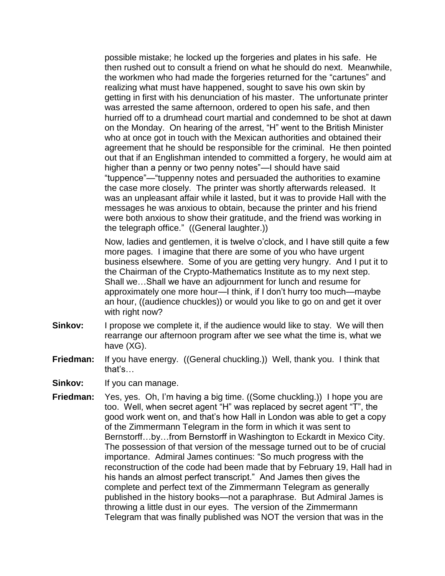possible mistake; he locked up the forgeries and plates in his safe. He then rushed out to consult a friend on what he should do next. Meanwhile, the workmen who had made the forgeries returned for the "cartunes" and realizing what must have happened, sought to save his own skin by getting in first with his denunciation of his master. The unfortunate printer was arrested the same afternoon, ordered to open his safe, and then hurried off to a drumhead court martial and condemned to be shot at dawn on the Monday. On hearing of the arrest, "H" went to the British Minister who at once got in touch with the Mexican authorities and obtained their agreement that he should be responsible for the criminal. He then pointed out that if an Englishman intended to committed a forgery, he would aim at higher than a penny or two penny notes"—I should have said "tuppence"—"tuppenny notes and persuaded the authorities to examine the case more closely. The printer was shortly afterwards released. It was an unpleasant affair while it lasted, but it was to provide Hall with the messages he was anxious to obtain, because the printer and his friend were both anxious to show their gratitude, and the friend was working in the telegraph office." ((General laughter.))

Now, ladies and gentlemen, it is twelve o'clock, and I have still quite a few more pages. I imagine that there are some of you who have urgent business elsewhere. Some of you are getting very hungry. And I put it to the Chairman of the Crypto-Mathematics Institute as to my next step. Shall we…Shall we have an adjournment for lunch and resume for approximately one more hour—I think, if I don"t hurry too much—maybe an hour, ((audience chuckles)) or would you like to go on and get it over with right now?

- **Sinkov:** I propose we complete it, if the audience would like to stay. We will then rearrange our afternoon program after we see what the time is, what we have (XG).
- **Friedman:** If you have energy. ((General chuckling.)) Well, thank you. I think that that"s…
- Sinkov: If you can manage.
- **Friedman:** Yes, yes. Oh, I'm having a big time. ((Some chuckling.)) I hope you are too. Well, when secret agent "H" was replaced by secret agent "T", the good work went on, and that"s how Hall in London was able to get a copy of the Zimmermann Telegram in the form in which it was sent to Bernstorff…by…from Bernstorff in Washington to Eckardt in Mexico City. The possession of that version of the message turned out to be of crucial importance. Admiral James continues: "So much progress with the reconstruction of the code had been made that by February 19, Hall had in his hands an almost perfect transcript." And James then gives the complete and perfect text of the Zimmermann Telegram as generally published in the history books—not a paraphrase. But Admiral James is throwing a little dust in our eyes. The version of the Zimmermann Telegram that was finally published was NOT the version that was in the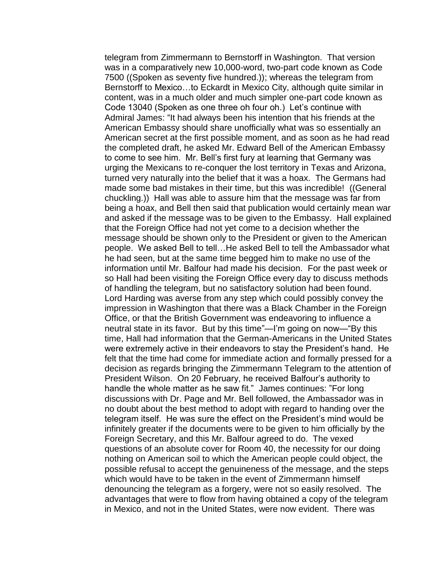telegram from Zimmermann to Bernstorff in Washington. That version was in a comparatively new 10,000-word, two-part code known as Code 7500 ((Spoken as seventy five hundred.)); whereas the telegram from Bernstorff to Mexico…to Eckardt in Mexico City, although quite similar in content, was in a much older and much simpler one-part code known as Code 13040 (Spoken as one three oh four oh.) Let"s continue with Admiral James: "It had always been his intention that his friends at the American Embassy should share unofficially what was so essentially an American secret at the first possible moment, and as soon as he had read the completed draft, he asked Mr. Edward Bell of the American Embassy to come to see him. Mr. Bell"s first fury at learning that Germany was urging the Mexicans to re-conquer the lost territory in Texas and Arizona, turned very naturally into the belief that it was a hoax. The Germans had made some bad mistakes in their time, but this was incredible! ((General chuckling.)) Hall was able to assure him that the message was far from being a hoax, and Bell then said that publication would certainly mean war and asked if the message was to be given to the Embassy. Hall explained that the Foreign Office had not yet come to a decision whether the message should be shown only to the President or given to the American people. We asked Bell to tell…He asked Bell to tell the Ambassador what he had seen, but at the same time begged him to make no use of the information until Mr. Balfour had made his decision. For the past week or so Hall had been visiting the Foreign Office every day to discuss methods of handling the telegram, but no satisfactory solution had been found. Lord Harding was averse from any step which could possibly convey the impression in Washington that there was a Black Chamber in the Foreign Office, or that the British Government was endeavoring to influence a neutral state in its favor. But by this time"—I"m going on now—"By this time, Hall had information that the German-Americans in the United States were extremely active in their endeavors to stay the President"s hand. He felt that the time had come for immediate action and formally pressed for a decision as regards bringing the Zimmermann Telegram to the attention of President Wilson. On 20 February, he received Balfour"s authority to handle the whole matter as he saw fit." James continues: "For long discussions with Dr. Page and Mr. Bell followed, the Ambassador was in no doubt about the best method to adopt with regard to handing over the telegram itself. He was sure the effect on the President's mind would be infinitely greater if the documents were to be given to him officially by the Foreign Secretary, and this Mr. Balfour agreed to do. The vexed questions of an absolute cover for Room 40, the necessity for our doing nothing on American soil to which the American people could object, the possible refusal to accept the genuineness of the message, and the steps which would have to be taken in the event of Zimmermann himself denouncing the telegram as a forgery, were not so easily resolved. The advantages that were to flow from having obtained a copy of the telegram in Mexico, and not in the United States, were now evident. There was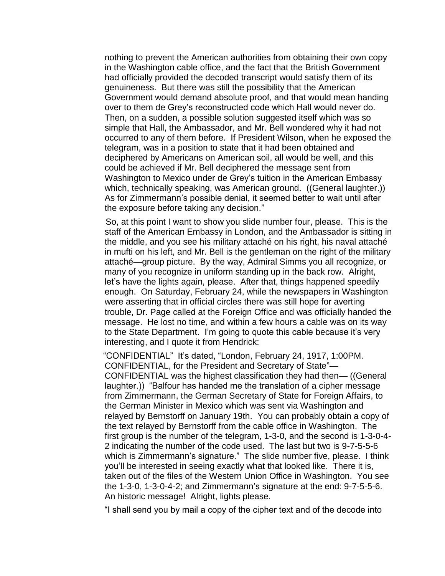nothing to prevent the American authorities from obtaining their own copy in the Washington cable office, and the fact that the British Government had officially provided the decoded transcript would satisfy them of its genuineness. But there was still the possibility that the American Government would demand absolute proof, and that would mean handing over to them de Grey"s reconstructed code which Hall would never do. Then, on a sudden, a possible solution suggested itself which was so simple that Hall, the Ambassador, and Mr. Bell wondered why it had not occurred to any of them before. If President Wilson, when he exposed the telegram, was in a position to state that it had been obtained and deciphered by Americans on American soil, all would be well, and this could be achieved if Mr. Bell deciphered the message sent from Washington to Mexico under de Grey"s tuition in the American Embassy which, technically speaking, was American ground. ((General laughter.)) As for Zimmermann"s possible denial, it seemed better to wait until after the exposure before taking any decision."

 So, at this point I want to show you slide number four, please. This is the staff of the American Embassy in London, and the Ambassador is sitting in the middle, and you see his military attaché on his right, his naval attaché in mufti on his left, and Mr. Bell is the gentleman on the right of the military attaché—group picture. By the way, Admiral Simms you all recognize, or many of you recognize in uniform standing up in the back row. Alright, let"s have the lights again, please. After that, things happened speedily enough. On Saturday, February 24, while the newspapers in Washington were asserting that in official circles there was still hope for averting trouble, Dr. Page called at the Foreign Office and was officially handed the message. He lost no time, and within a few hours a cable was on its way to the State Department. I"m going to quote this cable because it"s very interesting, and I quote it from Hendrick:

 "CONFIDENTIAL" It"s dated, "London, February 24, 1917, 1:00PM. CONFIDENTIAL, for the President and Secretary of State"— CONFIDENTIAL was the highest classification they had then— ((General laughter.)) "Balfour has handed me the translation of a cipher message from Zimmermann, the German Secretary of State for Foreign Affairs, to the German Minister in Mexico which was sent via Washington and relayed by Bernstorff on January 19th. You can probably obtain a copy of the text relayed by Bernstorff from the cable office in Washington. The first group is the number of the telegram, 1-3-0, and the second is 1-3-0-4- 2 indicating the number of the code used. The last but two is 9-7-5-5-6 which is Zimmermann's signature." The slide number five, please. I think you"ll be interested in seeing exactly what that looked like. There it is, taken out of the files of the Western Union Office in Washington. You see the 1-3-0, 1-3-0-4-2; and Zimmermann"s signature at the end: 9-7-5-5-6. An historic message! Alright, lights please.

"I shall send you by mail a copy of the cipher text and of the decode into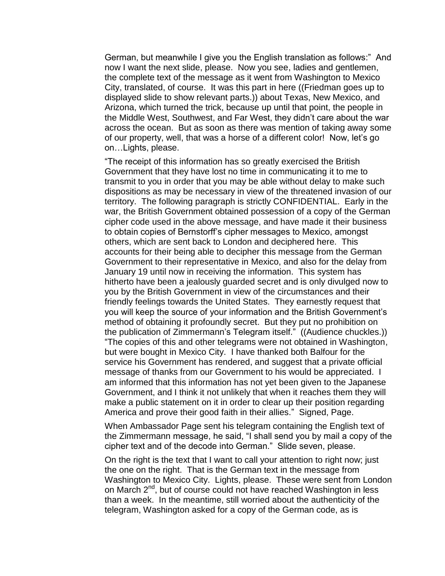German, but meanwhile I give you the English translation as follows:" And now I want the next slide, please. Now you see, ladies and gentlemen, the complete text of the message as it went from Washington to Mexico City, translated, of course. It was this part in here ((Friedman goes up to displayed slide to show relevant parts.)) about Texas, New Mexico, and Arizona, which turned the trick, because up until that point, the people in the Middle West, Southwest, and Far West, they didn"t care about the war across the ocean. But as soon as there was mention of taking away some of our property, well, that was a horse of a different color! Now, let"s go on…Lights, please.

"The receipt of this information has so greatly exercised the British Government that they have lost no time in communicating it to me to transmit to you in order that you may be able without delay to make such dispositions as may be necessary in view of the threatened invasion of our territory. The following paragraph is strictly CONFIDENTIAL. Early in the war, the British Government obtained possession of a copy of the German cipher code used in the above message, and have made it their business to obtain copies of Bernstorff"s cipher messages to Mexico, amongst others, which are sent back to London and deciphered here. This accounts for their being able to decipher this message from the German Government to their representative in Mexico, and also for the delay from January 19 until now in receiving the information. This system has hitherto have been a jealously guarded secret and is only divulged now to you by the British Government in view of the circumstances and their friendly feelings towards the United States. They earnestly request that you will keep the source of your information and the British Government"s method of obtaining it profoundly secret. But they put no prohibition on the publication of Zimmermann"s Telegram itself." ((Audience chuckles.)) "The copies of this and other telegrams were not obtained in Washington, but were bought in Mexico City. I have thanked both Balfour for the service his Government has rendered, and suggest that a private official message of thanks from our Government to his would be appreciated. I am informed that this information has not yet been given to the Japanese Government, and I think it not unlikely that when it reaches them they will make a public statement on it in order to clear up their position regarding America and prove their good faith in their allies." Signed, Page.

When Ambassador Page sent his telegram containing the English text of the Zimmermann message, he said, "I shall send you by mail a copy of the cipher text and of the decode into German." Slide seven, please.

On the right is the text that I want to call your attention to right now; just the one on the right. That is the German text in the message from Washington to Mexico City. Lights, please. These were sent from London on March 2<sup>nd</sup>, but of course could not have reached Washington in less than a week. In the meantime, still worried about the authenticity of the telegram, Washington asked for a copy of the German code, as is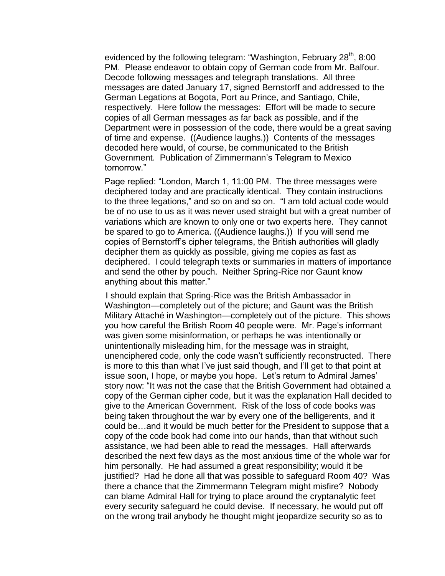evidenced by the following telegram: "Washington, February 28<sup>th</sup>, 8:00 PM. Please endeavor to obtain copy of German code from Mr. Balfour. Decode following messages and telegraph translations. All three messages are dated January 17, signed Bernstorff and addressed to the German Legations at Bogota, Port au Prince, and Santiago, Chile, respectively. Here follow the messages: Effort will be made to secure copies of all German messages as far back as possible, and if the Department were in possession of the code, there would be a great saving of time and expense. ((Audience laughs.)) Contents of the messages decoded here would, of course, be communicated to the British Government. Publication of Zimmermann"s Telegram to Mexico tomorrow."

Page replied: "London, March 1, 11:00 PM. The three messages were deciphered today and are practically identical. They contain instructions to the three legations," and so on and so on. "I am told actual code would be of no use to us as it was never used straight but with a great number of variations which are known to only one or two experts here. They cannot be spared to go to America. ((Audience laughs.)) If you will send me copies of Bernstorff"s cipher telegrams, the British authorities will gladly decipher them as quickly as possible, giving me copies as fast as deciphered. I could telegraph texts or summaries in matters of importance and send the other by pouch. Neither Spring-Rice nor Gaunt know anything about this matter."

 I should explain that Spring-Rice was the British Ambassador in Washington—completely out of the picture; and Gaunt was the British Military Attaché in Washington—completely out of the picture. This shows you how careful the British Room 40 people were. Mr. Page's informant was given some misinformation, or perhaps he was intentionally or unintentionally misleading him, for the message was in straight, unenciphered code, only the code wasn"t sufficiently reconstructed. There is more to this than what I"ve just said though, and I"ll get to that point at issue soon, I hope, or maybe you hope. Let's return to Admiral James' story now: "It was not the case that the British Government had obtained a copy of the German cipher code, but it was the explanation Hall decided to give to the American Government. Risk of the loss of code books was being taken throughout the war by every one of the belligerents, and it could be…and it would be much better for the President to suppose that a copy of the code book had come into our hands, than that without such assistance, we had been able to read the messages. Hall afterwards described the next few days as the most anxious time of the whole war for him personally. He had assumed a great responsibility; would it be justified? Had he done all that was possible to safeguard Room 40? Was there a chance that the Zimmermann Telegram might misfire? Nobody can blame Admiral Hall for trying to place around the cryptanalytic feet every security safeguard he could devise. If necessary, he would put off on the wrong trail anybody he thought might jeopardize security so as to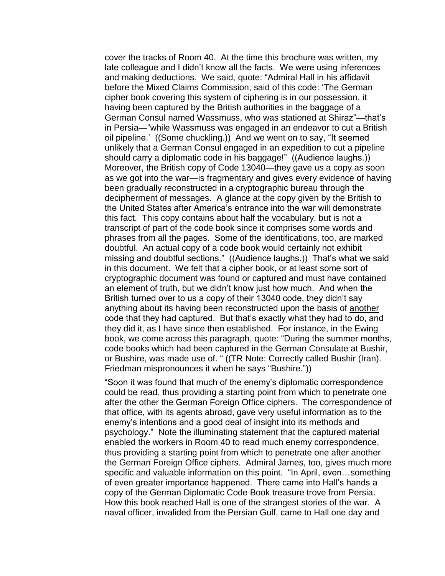cover the tracks of Room 40. At the time this brochure was written, my late colleague and I didn"t know all the facts. We were using inferences and making deductions. We said, quote: "Admiral Hall in his affidavit before the Mixed Claims Commission, said of this code: "The German cipher book covering this system of ciphering is in our possession, it having been captured by the British authorities in the baggage of a German Consul named Wassmuss, who was stationed at Shiraz"—that"s in Persia—"while Wassmuss was engaged in an endeavor to cut a British oil pipeline." ((Some chuckling.)) And we went on to say, "It seemed unlikely that a German Consul engaged in an expedition to cut a pipeline should carry a diplomatic code in his baggage!" ((Audience laughs.)) Moreover, the British copy of Code 13040—they gave us a copy as soon as we got into the war—is fragmentary and gives every evidence of having been gradually reconstructed in a cryptographic bureau through the decipherment of messages. A glance at the copy given by the British to the United States after America"s entrance into the war will demonstrate this fact. This copy contains about half the vocabulary, but is not a transcript of part of the code book since it comprises some words and phrases from all the pages. Some of the identifications, too, are marked doubtful. An actual copy of a code book would certainly not exhibit missing and doubtful sections." ((Audience laughs.)) That"s what we said in this document. We felt that a cipher book, or at least some sort of cryptographic document was found or captured and must have contained an element of truth, but we didn"t know just how much. And when the British turned over to us a copy of their 13040 code, they didn"t say anything about its having been reconstructed upon the basis of another code that they had captured. But that"s exactly what they had to do, and they did it, as I have since then established. For instance, in the Ewing book, we come across this paragraph, quote: "During the summer months, code books which had been captured in the German Consulate at Bushir, or Bushire, was made use of. " ((TR Note: Correctly called Bushir (Iran). Friedman mispronounces it when he says "Bushire."))

"Soon it was found that much of the enemy"s diplomatic correspondence could be read, thus providing a starting point from which to penetrate one after the other the German Foreign Office ciphers. The correspondence of that office, with its agents abroad, gave very useful information as to the enemy"s intentions and a good deal of insight into its methods and psychology." Note the illuminating statement that the captured material enabled the workers in Room 40 to read much enemy correspondence, thus providing a starting point from which to penetrate one after another the German Foreign Office ciphers. Admiral James, too, gives much more specific and valuable information on this point. "In April, even…something of even greater importance happened. There came into Hall"s hands a copy of the German Diplomatic Code Book treasure trove from Persia. How this book reached Hall is one of the strangest stories of the war. A naval officer, invalided from the Persian Gulf, came to Hall one day and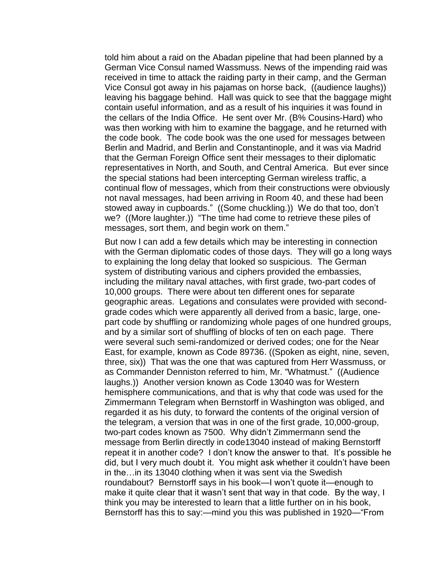told him about a raid on the Abadan pipeline that had been planned by a German Vice Consul named Wassmuss. News of the impending raid was received in time to attack the raiding party in their camp, and the German Vice Consul got away in his pajamas on horse back, ((audience laughs)) leaving his baggage behind. Hall was quick to see that the baggage might contain useful information, and as a result of his inquiries it was found in the cellars of the India Office. He sent over Mr. (B% Cousins-Hard) who was then working with him to examine the baggage, and he returned with the code book. The code book was the one used for messages between Berlin and Madrid, and Berlin and Constantinople, and it was via Madrid that the German Foreign Office sent their messages to their diplomatic representatives in North, and South, and Central America. But ever since the special stations had been intercepting German wireless traffic, a continual flow of messages, which from their constructions were obviously not naval messages, had been arriving in Room 40, and these had been stowed away in cupboards." ((Some chuckling.)) We do that too, don"t we? ((More laughter.)) "The time had come to retrieve these piles of messages, sort them, and begin work on them."

But now I can add a few details which may be interesting in connection with the German diplomatic codes of those days. They will go a long ways to explaining the long delay that looked so suspicious. The German system of distributing various and ciphers provided the embassies, including the military naval attaches, with first grade, two-part codes of 10,000 groups. There were about ten different ones for separate geographic areas. Legations and consulates were provided with secondgrade codes which were apparently all derived from a basic, large, onepart code by shuffling or randomizing whole pages of one hundred groups, and by a similar sort of shuffling of blocks of ten on each page. There were several such semi-randomized or derived codes; one for the Near East, for example, known as Code 89736. ((Spoken as eight, nine, seven, three, six)) That was the one that was captured from Herr Wassmuss, or as Commander Denniston referred to him, Mr. "Whatmust." ((Audience laughs.)) Another version known as Code 13040 was for Western hemisphere communications, and that is why that code was used for the Zimmermann Telegram when Bernstorff in Washington was obliged, and regarded it as his duty, to forward the contents of the original version of the telegram, a version that was in one of the first grade, 10,000-group, two-part codes known as 7500. Why didn"t Zimmermann send the message from Berlin directly in code13040 instead of making Bernstorff repeat it in another code? I don"t know the answer to that. It"s possible he did, but I very much doubt it. You might ask whether it couldn"t have been in the…in its 13040 clothing when it was sent via the Swedish roundabout? Bernstorff says in his book—I won"t quote it—enough to make it quite clear that it wasn"t sent that way in that code. By the way, I think you may be interested to learn that a little further on in his book, Bernstorff has this to say:—mind you this was published in 1920—"From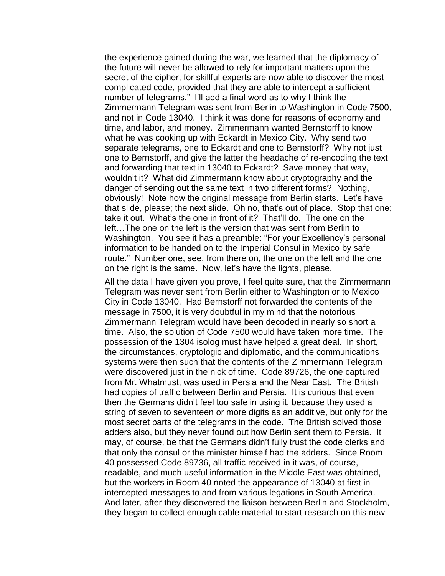the experience gained during the war, we learned that the diplomacy of the future will never be allowed to rely for important matters upon the secret of the cipher, for skillful experts are now able to discover the most complicated code, provided that they are able to intercept a sufficient number of telegrams." I"ll add a final word as to why I think the Zimmermann Telegram was sent from Berlin to Washington in Code 7500, and not in Code 13040. I think it was done for reasons of economy and time, and labor, and money. Zimmermann wanted Bernstorff to know what he was cooking up with Eckardt in Mexico City. Why send two separate telegrams, one to Eckardt and one to Bernstorff? Why not just one to Bernstorff, and give the latter the headache of re-encoding the text and forwarding that text in 13040 to Eckardt? Save money that way, wouldn"t it? What did Zimmermann know about cryptography and the danger of sending out the same text in two different forms? Nothing, obviously! Note how the original message from Berlin starts. Let"s have that slide, please; the next slide. Oh no, that"s out of place. Stop that one; take it out. What"s the one in front of it? That"ll do. The one on the left…The one on the left is the version that was sent from Berlin to Washington. You see it has a preamble: "For your Excellency"s personal information to be handed on to the Imperial Consul in Mexico by safe route." Number one, see, from there on, the one on the left and the one on the right is the same. Now, let"s have the lights, please.

All the data I have given you prove, I feel quite sure, that the Zimmermann Telegram was never sent from Berlin either to Washington or to Mexico City in Code 13040. Had Bernstorff not forwarded the contents of the message in 7500, it is very doubtful in my mind that the notorious Zimmermann Telegram would have been decoded in nearly so short a time. Also, the solution of Code 7500 would have taken more time. The possession of the 1304 isolog must have helped a great deal. In short, the circumstances, cryptologic and diplomatic, and the communications systems were then such that the contents of the Zimmermann Telegram were discovered just in the nick of time. Code 89726, the one captured from Mr. Whatmust, was used in Persia and the Near East. The British had copies of traffic between Berlin and Persia. It is curious that even then the Germans didn"t feel too safe in using it, because they used a string of seven to seventeen or more digits as an additive, but only for the most secret parts of the telegrams in the code. The British solved those adders also, but they never found out how Berlin sent them to Persia. It may, of course, be that the Germans didn"t fully trust the code clerks and that only the consul or the minister himself had the adders. Since Room 40 possessed Code 89736, all traffic received in it was, of course, readable, and much useful information in the Middle East was obtained, but the workers in Room 40 noted the appearance of 13040 at first in intercepted messages to and from various legations in South America. And later, after they discovered the liaison between Berlin and Stockholm, they began to collect enough cable material to start research on this new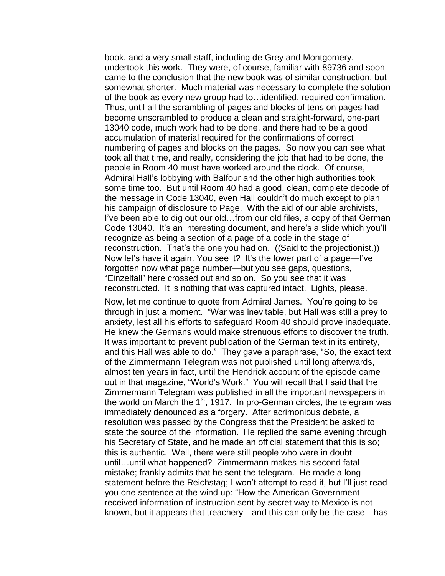book, and a very small staff, including de Grey and Montgomery, undertook this work. They were, of course, familiar with 89736 and soon came to the conclusion that the new book was of similar construction, but somewhat shorter. Much material was necessary to complete the solution of the book as every new group had to…identified, required confirmation. Thus, until all the scrambling of pages and blocks of tens on pages had become unscrambled to produce a clean and straight-forward, one-part 13040 code, much work had to be done, and there had to be a good accumulation of material required for the confirmations of correct numbering of pages and blocks on the pages. So now you can see what took all that time, and really, considering the job that had to be done, the people in Room 40 must have worked around the clock. Of course, Admiral Hall"s lobbying with Balfour and the other high authorities took some time too. But until Room 40 had a good, clean, complete decode of the message in Code 13040, even Hall couldn"t do much except to plan his campaign of disclosure to Page. With the aid of our able archivists, I've been able to dig out our old...from our old files, a copy of that German Code 13040. It's an interesting document, and here's a slide which you'll recognize as being a section of a page of a code in the stage of reconstruction. That's the one you had on. ((Said to the projectionist.)) Now let"s have it again. You see it? It"s the lower part of a page—I"ve forgotten now what page number—but you see gaps, questions, "Einzelfall" here crossed out and so on. So you see that it was reconstructed. It is nothing that was captured intact. Lights, please.

Now, let me continue to quote from Admiral James. You"re going to be through in just a moment. "War was inevitable, but Hall was still a prey to anxiety, lest all his efforts to safeguard Room 40 should prove inadequate. He knew the Germans would make strenuous efforts to discover the truth. It was important to prevent publication of the German text in its entirety, and this Hall was able to do." They gave a paraphrase, "So, the exact text of the Zimmermann Telegram was not published until long afterwards, almost ten years in fact, until the Hendrick account of the episode came out in that magazine, "World"s Work." You will recall that I said that the Zimmermann Telegram was published in all the important newspapers in the world on March the 1<sup>st</sup>, 1917. In pro-German circles, the telegram was immediately denounced as a forgery. After acrimonious debate, a resolution was passed by the Congress that the President be asked to state the source of the information. He replied the same evening through his Secretary of State, and he made an official statement that this is so; this is authentic. Well, there were still people who were in doubt until…until what happened? Zimmermann makes his second fatal mistake; frankly admits that he sent the telegram. He made a long statement before the Reichstag; I won"t attempt to read it, but I"ll just read you one sentence at the wind up: "How the American Government received information of instruction sent by secret way to Mexico is not known, but it appears that treachery—and this can only be the case—has